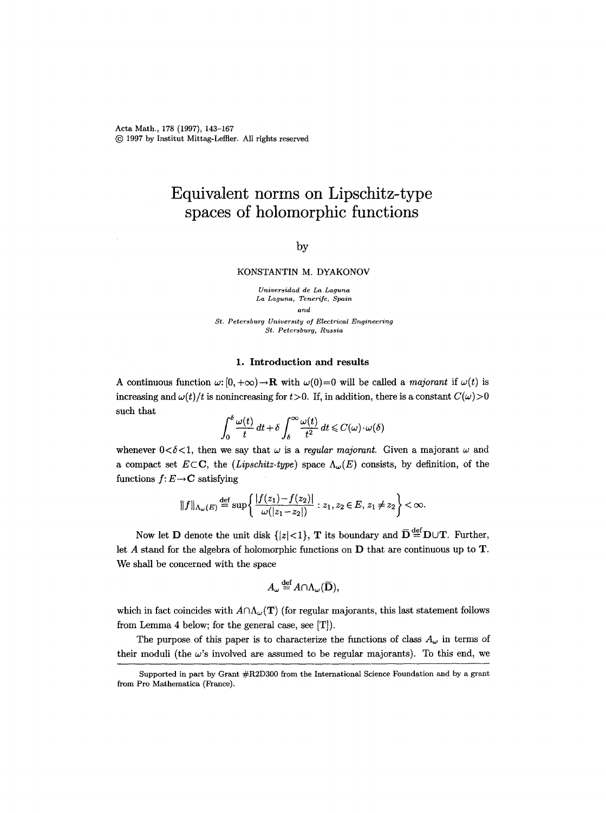Acta Math., 178 (1997), 143-167 (~) 1997 by Institut Mittag-Leffler. All rights reserved

# **Equivalent norms on Lipschitz-type spaces of holomorphic functions**

## by

## **KONSTANTIN M. DYAKONOV**

*Universidad de La Laguna La Laguna, Tenerife, Spain and* 

*St. Petersburg University of Electrical Engineering St. Petersburg, Russia* 

#### 1. Introduction and results

A continuous function  $\omega$ :  $[0, +\infty) \rightarrow \mathbf{R}$  with  $\omega(0) = 0$  will be called a *majorant* if  $\omega(t)$  is increasing and  $\omega(t)/t$  is nonincreasing for  $t>0$ . If, in addition, there is a constant  $C(\omega)>0$ such that

$$
\int_0^\delta \frac{\omega(t)}{t} dt + \delta \int_\delta^\infty \frac{\omega(t)}{t^2} dt \leq C(\omega) \cdot \omega(\delta)
$$

whenever  $0 < \delta < 1$ , then we say that  $\omega$  is a *regular majorant*. Given a majorant  $\omega$  and a compact set  $E\subset\mathbb{C}$ , the *(Lipschitz-type)* space  $\Lambda_{\omega}(E)$  consists, by definition, of the functions  $f: E \rightarrow \mathbf{C}$  satisfying

$$
||f||_{\Lambda_{\omega}(E)} \stackrel{\text{def}}{=} \sup \left\{ \frac{|f(z_1) - f(z_2)|}{\omega(|z_1 - z_2|)} : z_1, z_2 \in E, z_1 \neq z_2 \right\} < \infty.
$$

Now let **D** denote the unit disk  $\{|z| < 1\}$ , **T** its boundary and  $\overline{D} \stackrel{\text{def}}{=} D \cup T$ . Further, let A stand for the algebra of holomorphic functions on D that are continuous up to T. We shall be concerned with the space

$$
A_{\omega} \stackrel{\text{def}}{=} A \cap \Lambda_{\omega}(\overline{\mathbf{D}}),
$$

which in fact coincides with  $A \cap \Lambda_{\omega}(\mathbf{T})$  (for regular majorants, this last statement follows from Lemma 4 below; for the general case, see [T]).

The purpose of this paper is to characterize the functions of class  $A_{\omega}$  in terms of their moduli (the  $\omega$ 's involved are assumed to be regular majorants). To this end, we

Supported in part by Grant #R2D300 from the International Science Foundation and by a grant from Pro Mathematica (France).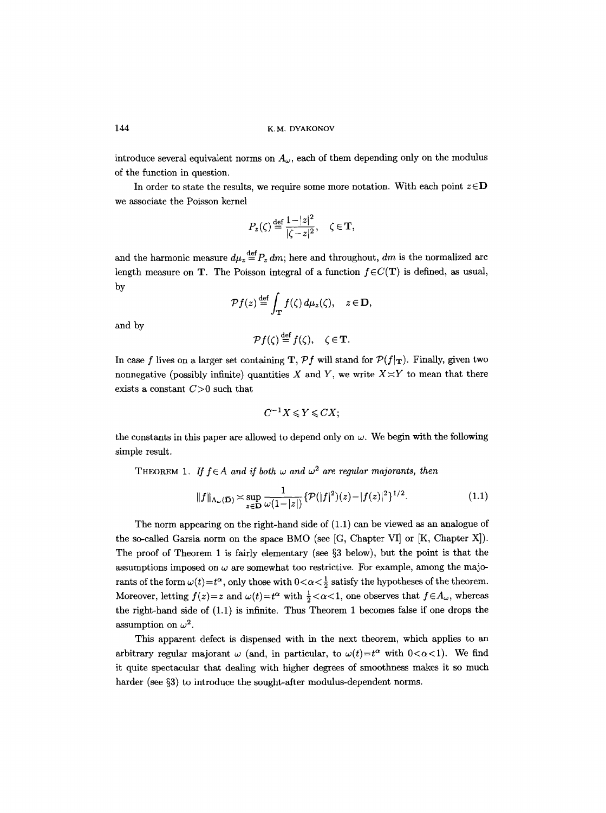introduce several equivalent norms on  $A_{\omega}$ , each of them depending only on the modulus of the function in question.

In order to state the results, we require some more notation. With each point  $z \in D$ we associate the Poisson kernel

$$
P_z(\zeta) \stackrel{\text{def}}{=} \frac{1-|z|^2}{|\zeta - z|^2}, \quad \zeta \in \mathbf{T},
$$

and the harmonic measure  $d\mu_z \stackrel{\text{def}}{=} P_z dm$ ; here and throughout, *dm* is the normalized arc length measure on T. The Poisson integral of a function  $f \in C(T)$  is defined, as usual, by

$$
\mathcal{P}f(z) \stackrel{\text{def}}{=} \int_{\mathbf{T}} f(\zeta) d\mu_z(\zeta), \quad z \in \mathbf{D},
$$

and by

$$
\mathcal{P}f(\zeta) \stackrel{\text{def}}{=} f(\zeta), \quad \zeta \in \mathbf{T}.
$$

In case f lives on a larger set containing T,  $Pf$  will stand for  $P(f|\tau)$ . Finally, given two nonnegative (possibly infinite) quantities X and Y, we write  $X \times Y$  to mean that there exists a constant  $C>0$  such that

$$
C^{-1}X\leqslant Y\leqslant CX;
$$

the constants in this paper are allowed to depend only on  $\omega$ . We begin with the following simple result.

THEOREM 1. If  $f \in A$  and if both  $\omega$  and  $\omega^2$  are regular majorants, then

$$
||f||_{\Lambda_{\omega}(\bar{\mathbf{D}})} \asymp \sup_{z \in \mathbf{D}} \frac{1}{\omega(1-|z|)} \{ \mathcal{P}(|f|^2)(z) - |f(z)|^2 \}^{1/2}.
$$
 (1.1)

The norm appearing on the right-hand side of (1.1) can be viewed as an analogue of the so-called Garsia norm on the space BMO (see [G, Chapter VI] or [K, Chapter X]). The proof of Theorem 1 is fairly elementary (see  $\S 3$  below), but the point is that the assumptions imposed on  $\omega$  are somewhat too restrictive. For example, among the majorants of the form  $\omega(t)=t^{\alpha}$ , only those with  $0<\alpha<\frac{1}{2}$  satisfy the hypotheses of the theorem. Moreover, letting  $f(z)=z$  and  $\omega(t)=t^{\alpha}$  with  $\frac{1}{2}<\alpha<1$ , one observes that  $f\in A_{\omega}$ , whereas the right-hand side of (1.1) is infinite. Thus Theorem 1 becomes false if one drops the assumption on  $\omega^2$ .

This apparent defect is dispensed with in the next theorem, which applies to an arbitrary regular majorant  $\omega$  (and, in particular, to  $\omega(t)=t^{\alpha}$  with  $0<\alpha<1$ ). We find it quite spectacular that dealing with higher degrees of smoothness makes it so much harder (see  $\S3$ ) to introduce the sought-after modulus-dependent norms.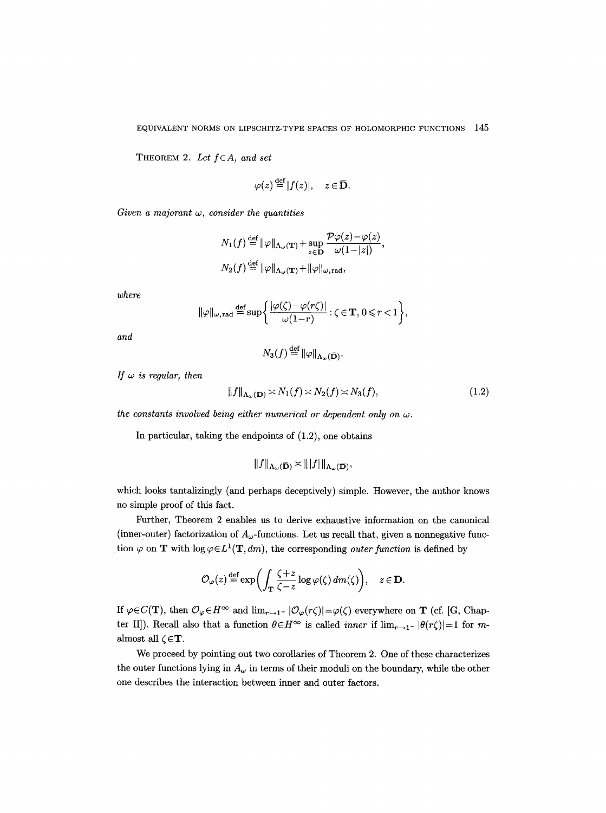THEOREM 2. Let  $f \in A$ , and set

$$
\varphi(z) \stackrel{\text{def}}{=} |f(z)|, \quad z \in \overline{\mathbf{D}}.
$$

*Given a majorant w, consider the quantities* 

$$
N_1(f) \stackrel{\text{def}}{=} ||\varphi||_{\Lambda_{\omega}(\mathbf{T})} + \sup_{z \in \mathbf{D}} \frac{\mathcal{P}\varphi(z) - \varphi(z)}{\omega(1 - |z|)},
$$
  

$$
N_2(f) \stackrel{\text{def}}{=} ||\varphi||_{\Lambda_{\omega}(\mathbf{T})} + ||\varphi||_{\omega, \text{rad}},
$$

*where* 

$$
\|\varphi\|_{\omega,\,\mathrm{rad}}\stackrel{\mathrm{def}}{=}\sup\bigg\{\frac{|\varphi(\zeta)-\varphi(r\zeta)|}{\omega(1-r)}:\zeta\in\mathbf{T},\,0\leqslant r<1\bigg\},
$$

*and* 

$$
N_3(f) \stackrel{\text{def}}{=} \|\varphi\|_{\Lambda_\omega(\mathbf{\bar{D}})}.
$$

*If w is regular, then* 

$$
||f||_{\Lambda_{\omega}(\overline{\mathbf{D}})} \asymp N_1(f) \asymp N_2(f) \asymp N_3(f),\tag{1.2}
$$

*the constants involved being either numerical or dependent only on*  $\omega$ *.* 

In particular, taking the endpoints of  $(1.2)$ , one obtains

$$
||f||_{\Lambda_{\omega}(\overline{\mathbf{D}})} \asymp |||f|||_{\Lambda_{\omega}(\overline{\mathbf{D}})},
$$

which looks tantalizingly (and perhaps deceptively) simple. However, the author knows no simple proof of this fact.

Further, Theorem 2 enables us to derive exhaustive information on the canonical (inner-outer) factorization of  $A_{\omega}$ -functions. Let us recall that, given a nonnegative function  $\varphi$  on **T** with  $\log \varphi \in L^1(\mathbf{T}, dm)$ , the corresponding *outer function* is defined by

$$
\mathcal{O}_{\varphi}(z) \stackrel{\text{def}}{=} \exp\biggl(\int_{\mathbf{T}} \frac{\zeta + z}{\zeta - z} \log \varphi(\zeta) \, dm(\zeta)\biggr), \quad z \in \mathbf{D}.
$$

If  $\varphi \in C(\mathbf{T})$ , then  $\mathcal{O}_{\varphi} \in H^{\infty}$  and  $\lim_{r \to 1^{-}} |\mathcal{O}_{\varphi}(r\zeta)| = \varphi(\zeta)$  everywhere on **T** (cf. [G, Chapter II]). Recall also that a function  $\theta \in H^\infty$  is called *inner* if  $\lim_{r \to 1^-} |\theta(r\zeta)| = 1$  for malmost all  $\zeta \in \mathbf{T}$ .

We proceed by pointing out two corollaries of Theorem 2. One of these characterizes the outer functions lying in  $A_{\omega}$  in terms of their moduli on the boundary, while the other one describes the interaction between inner and outer factors.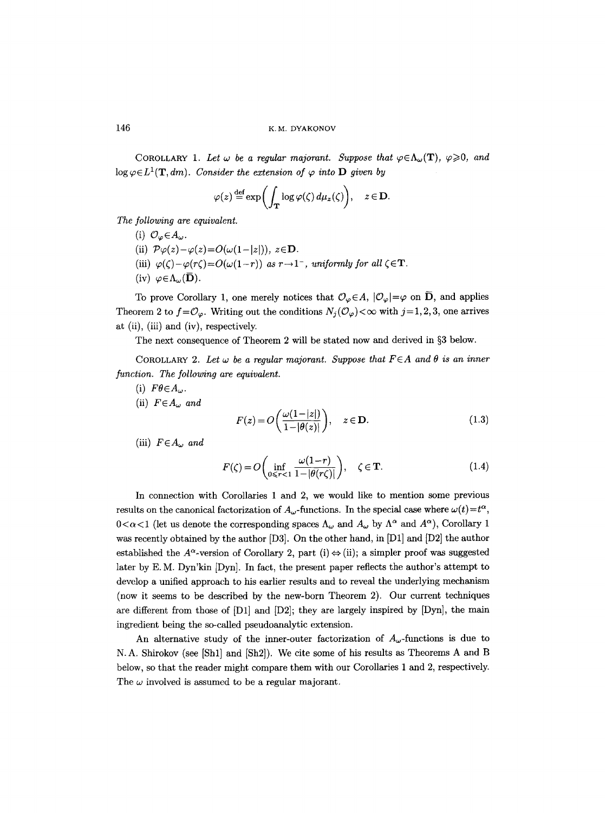COROLLARY 1. Let  $\omega$  be a regular majorant. Suppose that  $\varphi \in \Lambda_{\omega}(\mathbf{T})$ ,  $\varphi \geq 0$ , and  $\log \varphi \in L^1(\mathbf{T}, dm)$ . Consider the extension of  $\varphi$  into **D** given by

$$
\varphi(z) \stackrel{\text{def}}{=} \exp\biggl(\int_{\mathbf{T}} \log \varphi(\zeta) \, d\mu_z(\zeta)\biggr), \quad z \in \mathbf{D}.
$$

*The following are equivalent.* 

(i)  $\mathcal{O}_{\omega} \in A_{\omega}$ . (ii)  $\mathcal{P}\varphi(z)-\varphi(z)=O(\omega(1-|z|)), z \in \mathbf{D}.$ (iii)  $\varphi(\zeta) - \varphi(r\zeta) = O(\omega(1-r))$  as  $r \to 1^-$ , uniformly for all  $\zeta \in \mathbf{T}$ . (iv)  $\varphi \in \Lambda_{\omega}(\mathbf{\bar{D}})$ .

To prove Corollary 1, one merely notices that  $\mathcal{O}_{\varphi} \in A$ ,  $|\mathcal{O}_{\varphi}| = \varphi$  on  $\overline{D}$ , and applies Theorem 2 to  $f=\mathcal{O}_{\varphi}$ . Writing out the conditions  $N_i(\mathcal{O}_{\varphi})<\infty$  with  $j=1,2,3$ , one arrives at (ii), (iii) and (iv), respectively.

The next consequence of Theorem 2 will be stated now and derived in  $\S 3$  below.

COROLLARY 2. Let  $\omega$  be a regular majorant. Suppose that  $F \in A$  and  $\theta$  is an inner *function. The following are equivalent.* 

- (i)  $F\theta \in A_{\omega}$ .
- (ii)  $F \in A_{\omega}$  and

$$
F(z) = O\left(\frac{\omega(1-|z|)}{1-|\theta(z)|}\right), \quad z \in \mathbf{D}.\tag{1.3}
$$

(iii)  $F \in A_{\omega}$  and

$$
F(\zeta) = O\left(\inf_{0 \le r < 1} \frac{\omega(1-r)}{1 - |\theta(r\zeta)|}\right), \quad \zeta \in \mathbf{T}.\tag{1.4}
$$

In connection with Corollaries 1 and 2, we would like to mention some previous results on the canonical factorization of  $A_{\omega}$ -functions. In the special case where  $\omega(t) = t^{\alpha}$ ,  $0 < \alpha < 1$  (let us denote the corresponding spaces  $\Lambda_{\omega}$  and  $A_{\omega}$  by  $\Lambda^{\alpha}$  and  $A^{\alpha}$ ), Corollary 1 was recently obtained by the author [D3]. On the other hand, in [D1] and [D2] the author established the  $A^{\alpha}$ -version of Corollary 2, part (i)  $\Leftrightarrow$  (ii); a simpler proof was suggested later by E. M. Dyn'kin [Dyn]. In fact, the present paper reflects the author's attempt to develop a unified approach to his earlier results and to reveal the underlying mechanism (now it seems to be described by the new-born Theorem 2). Our current techniques are different from those of  $[D1]$  and  $[D2]$ ; they are largely inspired by  $[Dyn]$ , the main ingredient being the so-called pseudoanalytic extension.

An alternative study of the inner-outer factorization of  $A_{\omega}$ -functions is due to N.A. Shirokov (see [Shl] and [Sh2]). We cite some of his results as Theorems A and B below, so that the reader might compare them with our Corollaries 1 and 2, respectively. The  $\omega$  involved is assumed to be a regular majorant.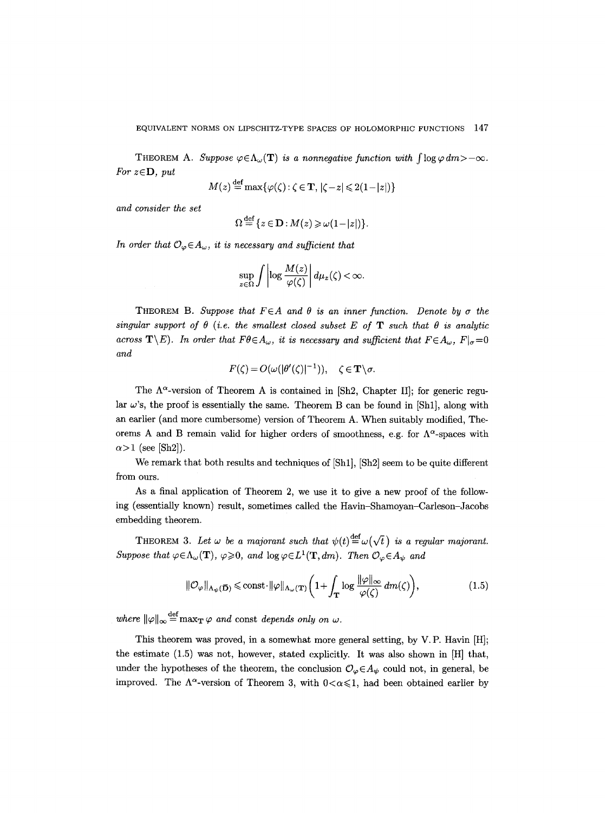THEOREM A. *Suppose*  $\varphi \in \Lambda_{\omega}(\mathbf{T})$  *is a nonnegative function with*  $\int \log \varphi dm > -\infty$ . *For*  $z \in \mathbf{D}$ *, put* 

$$
M(z) \stackrel{\text{def}}{=} \max\{\varphi(\zeta) : \zeta \in \mathbf{T}, |\zeta - z| \leq 2(1 - |z|)\}
$$

*and consider the set* 

$$
\Omega \stackrel{\text{def}}{=} \{ z \in \mathbf{D} : M(z) \geqslant \omega(1-|z|) \}.
$$

In order that  $\mathcal{O}_{\varphi} \in A_{\omega}$ , it is necessary and sufficient that

$$
\sup_{z\in\Omega}\int\left|\log\frac{M(z)}{\varphi(\zeta)}\right|d\mu_z(\zeta)<\infty.
$$

THEOREM B. Suppose that  $F \in A$  and  $\theta$  is an inner function. Denote by  $\sigma$  the singular support of  $\theta$  (i.e. the smallest closed subset E of **T** such that  $\theta$  is analytic *across*  $\mathbf{T}\setminus E$ ). In order that  $F\theta \in A_{\omega}$ , it is necessary and sufficient that  $F\in A_{\omega}$ ,  $F|_{\sigma}=0$ *and* 

$$
F(\zeta) = O(\omega(|\theta'(\zeta)|^{-1})), \quad \zeta \in \mathbf{T} \setminus \sigma.
$$

The  $\Lambda^{\alpha}$ -version of Theorem A is contained in [Sh2, Chapter II]; for generic regular  $\omega$ 's, the proof is essentially the same. Theorem B can be found in [Sh1], along with an earlier (and more cumbersome) version of Theorem A. When suitably modified, Theorems A and B remain valid for higher orders of smoothness, e.g. for  $\Lambda^{\alpha}$ -spaces with  $\alpha$  > 1 (see [Sh2]).

We remark that both results and techniques of [Sh1], [Sh2] seem to be quite different from ours.

As a final application of Theorem 2, we use it to give a new proof of the following (essentially known) result, sometimes called the Havin-Shamoyan-Carleson-Jacobs embedding theorem.

THEOREM 3. Let  $\omega$  be a majorant such that  $\psi(t) \stackrel{\text{def}}{=} \omega(\sqrt{t})$  is a regular majorant.  $Suppose that \varphi \in \Lambda_{\omega}(\mathbf{T}), \varphi \geqslant 0, and \log \varphi \in L^1(\mathbf{T}, dm).$  Then  $\mathcal{O}_{\varphi} \in A_{\psi}$  and

$$
\|\mathcal{O}_{\varphi}\|_{\Lambda_{\psi}(\mathbf{\overline{D}})} \leqslant \text{const} \cdot \|\varphi\|_{\Lambda_{\omega}(\mathbf{T})} \bigg(1 + \int_{\mathbf{T}} \log \frac{\|\varphi\|_{\infty}}{\varphi(\zeta)} dm(\zeta)\bigg),\tag{1.5}
$$

 $where \|\varphi\|_{\infty} = \max_{\mathbf{T}} \varphi$  and const *depends only on w.* 

This theorem was proved, in a somewhat more general setting, by V.P. Havin [H]; the estimate (1.5) was not, however, stated explicitly. It was also shown in [H] that, under the hypotheses of the theorem, the conclusion  $\mathcal{O}_{\varphi} \in A_{\psi}$  could not, in general, be improved. The  $\Lambda^{\alpha}$ -version of Theorem 3, with  $0<\alpha\leq 1$ , had been obtained earlier by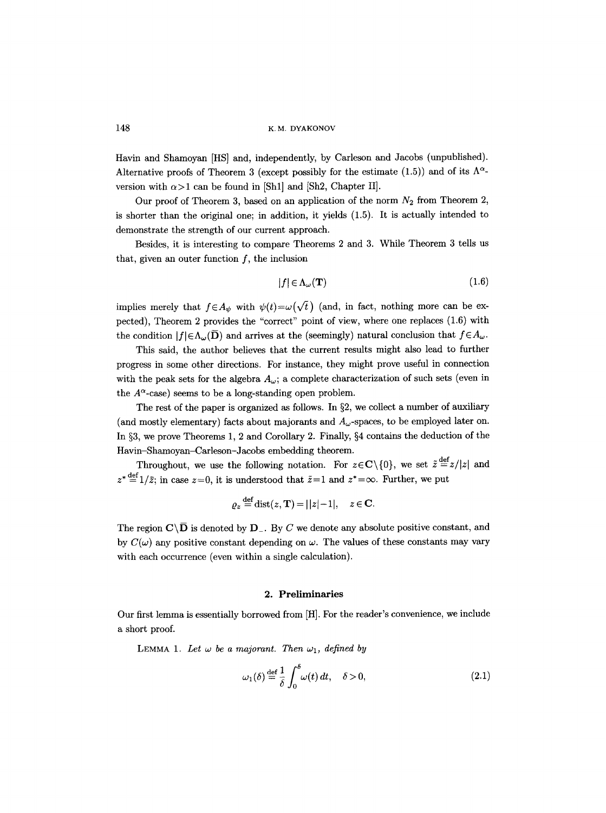Havin and Shamoyan [HS] and, independently, by Carleson and Jacobs (unpublished). Alternative proofs of Theorem 3 (except possibly for the estimate (1.5)) and of its  $\Lambda^{\alpha}$ version with  $\alpha > 1$  can be found in [Sh1] and [Sh2, Chapter II].

Our proof of Theorem 3, based on an application of the norm  $N_2$  from Theorem 2, is shorter than the original one; in addition, it yields (1.5). It is actually intended to demonstrate the strength of our current approach.

Besides, it is interesting to compare Theorems 2 and 3. While Theorem 3 tells us that, given an outer function  $f$ , the inclusion

$$
|f| \in \Lambda_{\omega}(\mathbf{T}) \tag{1.6}
$$

implies merely that  $f \in A_{\psi}$  with  $\psi(t) = \omega(\sqrt{t})$  (and, in fact, nothing more can be expected), Theorem 2 provides the "correct" point of view, where one replaces (1.6) with the condition  $|f|\in\Lambda_{\omega}(\overline{D})$  and arrives at the (seemingly) natural conclusion that  $f\in A_{\omega}$ .

This said, the author believes that the current results might also lead to further progress in some other directions. For instance, they might prove useful in connection with the peak sets for the algebra  $A_{\omega}$ ; a complete characterization of such sets (even in the  $A^{\alpha}$ -case) seems to be a long-standing open problem.

The rest of the paper is organized as follows. In  $\S2$ , we collect a number of auxiliary (and mostly elementary) facts about majorants and  $A_{\omega}$ -spaces, to be employed later on. In §3, we prove Theorems 1, 2 and Corollary 2. Finally, §4 contains the deduction of the Havin-Shamoyan-Carleson-Jacobs embedding theorem.

Throughout, we use the following notation. For  $z \in \mathbb{C} \setminus \{0\}$ , we set  $\tilde{z} \stackrel{\text{def}}{=} z/|z|$  and  $z^* \stackrel{\text{def}}{=} 1/\overline{z}$ ; in case  $z=0$ , it is understood that  $\overline{z}=1$  and  $z^*=\infty$ . Further, we put

$$
\varrho_z \stackrel{\text{def}}{=} \text{dist}(z, \mathbf{T}) = ||z| - 1|, \quad z \in \mathbf{C}.
$$

The region  $\mathbf{C}\setminus\overline{\mathbf{D}}$  is denoted by  $\mathbf{D}_{-}$ . By C we denote any absolute positive constant, and by  $C(\omega)$  any positive constant depending on  $\omega$ . The values of these constants may vary with each occurrence (even within a single calculation).

### **2. Preliminaries**

Our first lemma is essentially borrowed from [H]. For the reader's convenience, we include a short proof.

LEMMA 1. Let  $\omega$  be a majorant. Then  $\omega_1$ , defined by

$$
\omega_1(\delta) \stackrel{\text{def}}{=} \frac{1}{\delta} \int_0^{\delta} \omega(t) dt, \quad \delta > 0,
$$
\n(2.1)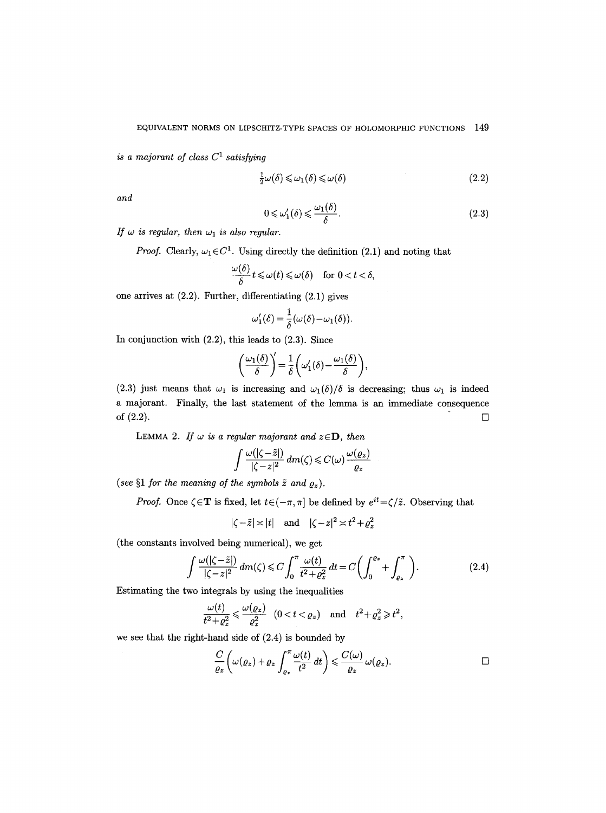*is a majorant of class*  $C^1$  *satisfying* 

$$
\frac{1}{2}\omega(\delta) \leq \omega_1(\delta) \leq \omega(\delta) \tag{2.2}
$$

*and* 

$$
0 \leq \omega'_1(\delta) \leq \frac{\omega_1(\delta)}{\delta}.
$$
\n(2.3)

*If*  $\omega$  *is regular, then*  $\omega_1$  *is also regular.* 

*Proof.* Clearly,  $\omega_1 \in C^1$ . Using directly the definition (2.1) and noting that

$$
\frac{\omega(\delta)}{\delta}t\leqslant\omega(t)\leqslant\omega(\delta)\quad\text{for }0
$$

one arrives at (2.2). Further, differentiating (2.1) gives

$$
\omega_1'(\delta) = \frac{1}{\delta}(\omega(\delta) - \omega_1(\delta))
$$

In conjunction with  $(2.2)$ , this leads to  $(2.3)$ . Since

$$
\left(\frac{\omega_1(\delta)}{\delta}\right)' = \frac{1}{\delta}\left(\omega'_1(\delta) - \frac{\omega_1(\delta)}{\delta}\right),\,
$$

(2.3) just means that  $\omega_1$  is increasing and  $\omega_1(\delta)/\delta$  is decreasing; thus  $\omega_1$  is indeed a majorant. Finally, the last statement of the lemma is an immediate consequence of  $(2.2)$ .

LEMMA 2. If  $\omega$  is a regular majorant and  $z \in D$ , then

$$
\int \frac{\omega(|\zeta - \tilde{z}|)}{|\zeta - z|^2} dm(\zeta) \leq C(\omega) \frac{\omega(\varrho_z)}{\varrho_z}
$$

(see  $\S1$  for the meaning of the symbols  $\tilde{z}$  and  $\rho_z$ ).

*Proof.* Once  $\zeta \in \mathbf{T}$  is fixed, let  $t \in (-\pi, \pi]$  be defined by  $e^{it} = \zeta/\tilde{z}$ . Observing that

$$
|\zeta - \tilde{z}| \asymp |t|
$$
 and  $|\zeta - z|^2 \asymp t^2 + \varrho_z^2$ 

(the constants involved being numerical), we get

$$
\int \frac{\omega(|\zeta - \tilde{z}|)}{|\zeta - z|^2} dm(\zeta) \leq C \int_0^{\pi} \frac{\omega(t)}{t^2 + \varrho_z^2} dt = C \left( \int_0^{\varrho_z} + \int_{\varrho_z}^{\pi} \right).
$$
 (2.4)

Estimating the two integrals by using the inequalities

$$
\frac{\omega(t)}{t^2+\varrho_z^2}\leqslant \frac{\omega(\varrho_z)}{\varrho_z^2}\quad (0
$$

we see that the right-hand side of  $(2.4)$  is bounded by

$$
\frac{C}{\varrho_z}\bigg(\omega(\varrho_z)+\varrho_z\int_{\varrho_z}^{\pi}\frac{\omega(t)}{t^2}\,dt\bigg)\leqslant\frac{C(\omega)}{\varrho_z}\,\omega(\varrho_z).
$$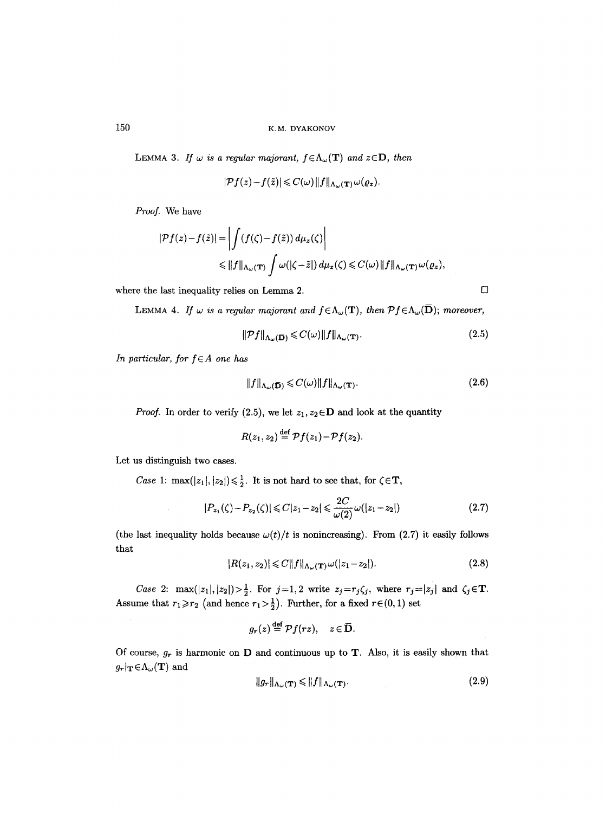LEMMA 3. If  $\omega$  is a regular majorant,  $f \in \Lambda_{\omega}(\mathbf{T})$  and  $z \in \mathbf{D}$ , then

$$
|\mathcal{P}f(z)-f(\tilde{z})|\leqslant C(\omega)\|f\|_{\Lambda_{\omega}(\mathbf{T})}\,\omega(\varrho_z).
$$

*Proof.* We have

$$
|\mathcal{P}f(z) - f(\tilde{z})| = \left| \int (f(\zeta) - f(\tilde{z})) d\mu_z(\zeta) \right|
$$
  
\$\leq ||f||\_{\Lambda\_\omega(\mathbf{T})} \int \omega(|\zeta - \tilde{z}|) d\mu\_z(\zeta) \leq C(\omega) ||f||\_{\Lambda\_\omega(\mathbf{T})} \omega(\varrho\_z),

where the last inequality relies on Lemma 2.  $\Box$ 

LEMMA 4. If  $\omega$  is a regular majorant and  $f \in \Lambda_{\omega}(\mathbf{T})$ , then  $\mathcal{P} f \in \Lambda_{\omega}(\overline{\mathbf{D}})$ ; moreover,

$$
\|\mathcal{P}f\|_{\Lambda_{\omega}(\mathbf{\bar{D}})} \leqslant C(\omega) \|f\|_{\Lambda_{\omega}(\mathbf{T})}.\tag{2.5}
$$

*In particular, for f*∈A one has

$$
||f||_{\Lambda_{\omega}(\overline{\mathbf{D}})} \leqslant C(\omega) ||f||_{\Lambda_{\omega}(\mathbf{T})}.
$$
\n(2.6)

*Proof.* In order to verify (2.5), we let  $z_1, z_2 \in \mathbf{D}$  and look at the quantity

$$
R(z_1, z_2) \stackrel{\text{def}}{=} \mathcal{P}f(z_1) - \mathcal{P}f(z_2).
$$

Let us distinguish two cases.

*Case* 1:  $\max(|z_1|, |z_2|) \leq \frac{1}{2}$ . It is not hard to see that, for  $\zeta \in \mathbf{T}$ ,

$$
|P_{z_1}(\zeta) - P_{z_2}(\zeta)| \leq C|z_1 - z_2| \leq \frac{2C}{\omega(2)}\omega(|z_1 - z_2|)
$$
\n(2.7)

(the last inequality holds because  $\omega(t)/t$  is nonincreasing). From (2.7) it easily follows that

$$
|R(z_1, z_2)| \leqslant C \|f\|_{\Lambda_\omega(\mathbf{T})} \omega(|z_1 - z_2|). \tag{2.8}
$$

*Case 2:*  $\max(|z_1|, |z_2|) > \frac{1}{2}$ . For  $j=1,2$  write  $z_j=r_j\zeta_j$ , where  $r_j=|z_j|$  and  $\zeta_j\in\mathbf{T}$ . Assume that  $r_1 \ge r_2$  (and hence  $r_1 > \frac{1}{2}$ ). Further, for a fixed  $r \in (0, 1)$  set

$$
g_r(z) \stackrel{\text{def}}{=} \mathcal{P}f(rz), \quad z \in \overline{\mathbf{D}}.
$$

Of course,  $g_r$  is harmonic on **D** and continuous up to **T**. Also, it is easily shown that  $g_r|_{\mathbf{T}}\!\in\!\Lambda_{\omega}(\mathbf{T})$  and

$$
||g_r||_{\Lambda_\omega(\mathbf{T})} \le ||f||_{\Lambda_\omega(\mathbf{T})}.\tag{2.9}
$$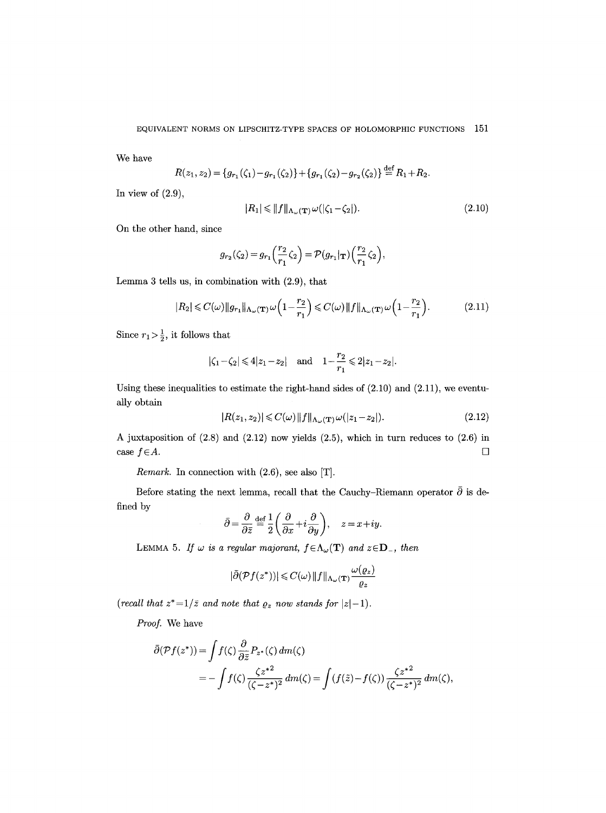We have

$$
R(z_1, z_2) = \{g_{r_1}(\zeta_1) - g_{r_1}(\zeta_2)\} + \{g_{r_1}(\zeta_2) - g_{r_2}(\zeta_2)\} \stackrel{\text{def}}{=} R_1 + R_2.
$$

In view of  $(2.9)$ ,

$$
|R_1| \leq ||f||_{\Lambda_\omega(\mathbf{T})}\,\omega(|\zeta_1 - \zeta_2|). \tag{2.10}
$$

On the other hand, since

$$
g_{r_2}(\zeta_2) = g_{r_1}\left(\frac{r_2}{r_1}\zeta_2\right) = \mathcal{P}(g_{r_1}|\mathbf{r})\left(\frac{r_2}{r_1}\zeta_2\right),\,
$$

Lemma 3 tells us, in combination with (2.9), that

$$
|R_2| \leqslant C(\omega) \|g_{r_1}\|_{\Lambda_\omega(\mathbf{T})} \omega \left(1 - \frac{r_2}{r_1}\right) \leqslant C(\omega) \|f\|_{\Lambda_\omega(\mathbf{T})} \omega \left(1 - \frac{r_2}{r_1}\right). \tag{2.11}
$$

Since  $r_1 > \frac{1}{2}$ , it follows that

$$
|\zeta_1-\zeta_2| \le 4|z_1-z_2|
$$
 and  $1-\frac{r_2}{r_1} \le 2|z_1-z_2|$ .

Using these inequalities to estimate the right-hand sides of  $(2.10)$  and  $(2.11)$ , we eventually obtain

$$
|R(z_1, z_2)| \leqslant C(\omega) \|f\|_{\Lambda_\omega(\mathbf{T})} \omega(|z_1 - z_2|). \tag{2.12}
$$

A juxtaposition of (2.8) and (2.12) now yields (2.5), which in turn reduces to (2.6) in case  $f \in A$ .

*Remark.* In connection with (2.6), see also [T].

Before stating the next lemma, recall that the Cauchy-Riemann operator  $\bar{\partial}$  is defined by

$$
\bar{\partial} = \frac{\partial}{\partial \bar{z}} \stackrel{\text{def}}{=} \frac{1}{2} \left( \frac{\partial}{\partial x} + i \frac{\partial}{\partial y} \right), \quad z = x + iy.
$$

LEMMA 5. If  $\omega$  is a regular majorant,  $f \in \Lambda_{\omega}(\mathbf{T})$  and  $z \in \mathbf{D}_{-}$ , then

$$
|\bar{\partial}(\mathcal{P}f(z^*))| \leqslant C(\omega) \|f\|_{\Lambda_{\omega}(\mathbf{T})} \frac{\omega(\varrho_z)}{\varrho_z}
$$

(recall that  $z^*$  =1/ $\bar{z}$  and note that  $\varrho_z$  now stands for  $|z|$  –1).

*Proof.* We have

$$
\bar{\partial}(\mathcal{P}f(z^*)) = \int f(\zeta) \frac{\partial}{\partial \bar{z}} P_{z^*}(\zeta) dm(\zeta)
$$
  
= 
$$
- \int f(\zeta) \frac{\zeta z^{*2}}{(\zeta - z^*)^2} dm(\zeta) = \int (f(\bar{z}) - f(\zeta)) \frac{\zeta z^{*2}}{(\zeta - z^*)^2} dm(\zeta),
$$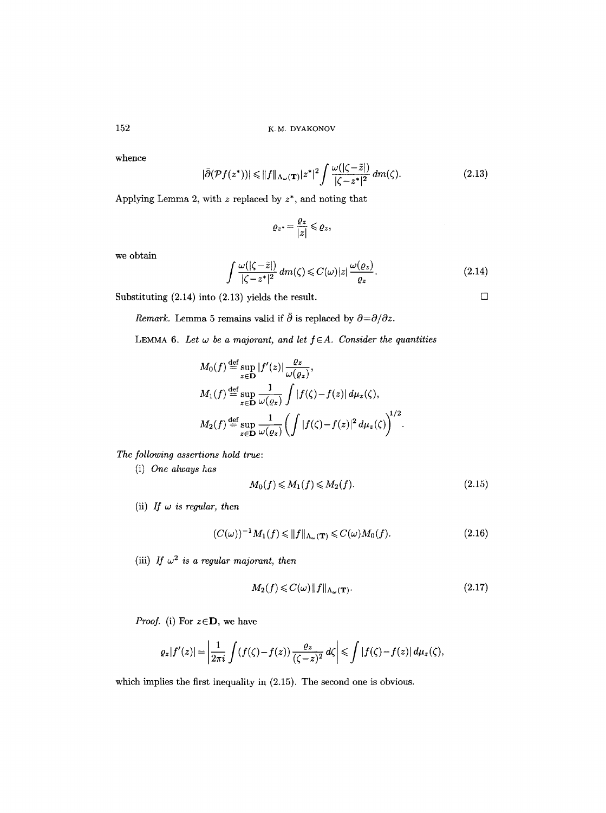whence

$$
|\bar{\partial}(\mathcal{P}f(z^*))| \le ||f||_{\Lambda_{\omega}(\mathbf{T})}|z^*|^2 \int \frac{\omega(|\zeta - \tilde{z}|)}{|\zeta - z^*|^2} \, dm(\zeta). \tag{2.13}
$$

Applying Lemma 2, with  $z$  replaced by  $z^*$ , and noting that

$$
\varrho_{z^*} = \frac{\varrho_z}{|z|} \leqslant \varrho_z,
$$

we obtain

$$
\int \frac{\omega(|\zeta - \tilde{z}|)}{|\zeta - z^*|^2} dm(\zeta) \leq C(\omega)|z| \frac{\omega(\varrho_z)}{\varrho_z}.
$$
\n(2.14)

Substituting (2.14) into (2.13) yields the result.

*Remark.* Lemma 5 remains valid if  $\bar{\partial}$  is replaced by  $\partial = \partial/\partial z$ .

LEMMA 6. Let  $\omega$  be a majorant, and let  $f \in A$ . Consider the quantities

$$
M_0(f) \stackrel{\text{def}}{=} \sup_{z \in \mathbf{D}} |f'(z)| \frac{\varrho_z}{\omega(\varrho_z)},
$$
  
\n
$$
M_1(f) \stackrel{\text{def}}{=} \sup_{z \in \mathbf{D}} \frac{1}{\omega(\varrho_z)} \int |f(\zeta) - f(z)| d\mu_z(\zeta),
$$
  
\n
$$
M_2(f) \stackrel{\text{def}}{=} \sup_{z \in \mathbf{D}} \frac{1}{\omega(\varrho_z)} \left( \int |f(\zeta) - f(z)|^2 d\mu_z(\zeta) \right)^{1/2}.
$$

*The following assertions hold true:* 

(i) *One always has* 

$$
M_0(f) \leqslant M_1(f) \leqslant M_2(f). \tag{2.15}
$$

(ii) *If*  $\omega$  *is regular, then* 

$$
(C(\omega))^{-1}M_1(f) \le ||f||_{\Lambda_\omega(\mathbf{T})} \le C(\omega)M_0(f). \tag{2.16}
$$

(iii) *If*  $\omega^2$  *is a regular majorant, then* 

$$
M_2(f) \leqslant C(\omega) \|f\|_{\Lambda_\omega(\mathbf{T})}.\tag{2.17}
$$

*Proof.* (i) For  $z \in D$ , we have

$$
\varrho_z|f'(z)|=\left|\frac{1}{2\pi i}\int\left(f(\zeta)-f(z)\right)\frac{\varrho_z}{(\zeta-z)^2}\,d\zeta\right|\leq \int\left|f(\zeta)-f(z)\right|d\mu_z(\zeta),
$$

which implies the first inequality in (2.15). The second one is obvious.

 $\Box$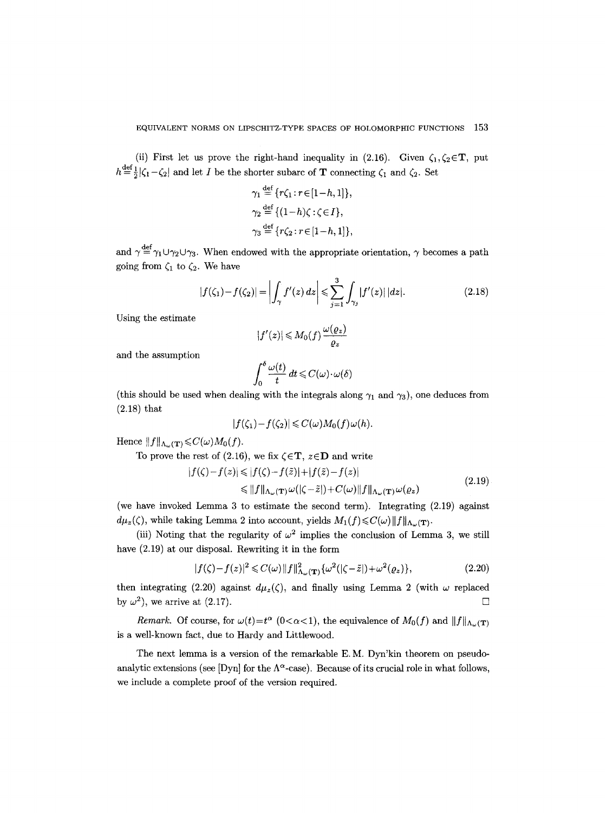(ii) First let us prove the right-hand inequality in (2.16). Given  $\zeta_1,\zeta_2\in\mathbf{T}$ , put  $h\!\stackrel{\small \mathrm{def}}{=}\!\frac{1}{2}|\zeta_1-\zeta_2|$  and let  $I$  be the shorter subarc of  ${\bf T}$  connecting  $\zeta_1$  and  $\zeta_2.$  Set

$$
\gamma_1 \stackrel{\text{def}}{=} \{r\zeta_1 : r \in [1-h, 1]\},
$$
  
\n
$$
\gamma_2 \stackrel{\text{def}}{=} \{ (1-h)\zeta : \zeta \in I \},
$$
  
\n
$$
\gamma_3 \stackrel{\text{def}}{=} \{r\zeta_2 : r \in [1-h, 1]\},
$$

and  $\gamma \stackrel{\text{def}}{=} \gamma_1 \cup \gamma_2 \cup \gamma_3$ . When endowed with the appropriate orientation,  $\gamma$  becomes a path going from  $\zeta_1$  to  $\zeta_2$ . We have

$$
|f(\zeta_1) - f(\zeta_2)| = \left| \int_{\gamma} f'(z) dz \right| \leq \sum_{j=1}^{3} \int_{\gamma_j} |f'(z)| |dz|.
$$
 (2.18)

Using the estimate

$$
|f'(z)| \leq M_0(f) \frac{\omega(\varrho_z)}{\varrho_z}
$$

and the assmnption

$$
\int_0^{\delta} \frac{\omega(t)}{t} dt \leqslant C(\omega) \cdot \omega(\delta)
$$

(this should be used when dealing with the integrals along  $\gamma_1$  and  $\gamma_3$ ), one deduces from (2.18) that

$$
|f(\zeta_1)-f(\zeta_2)|\leqslant C(\omega)M_0(f)\omega(h).
$$

Hence  $||f||_{\Lambda_{\omega}(\mathbf{T})} \leqslant C(\omega)M_0(f)$ .

To prove the rest of (2.16), we fix  $\zeta \in \mathbf{T}$ ,  $z \in \mathbf{D}$  and write

$$
|f(\zeta) - f(z)| \le |f(\zeta) - f(\tilde{z})| + |f(\tilde{z}) - f(z)|
$$
  
\n
$$
\le \|f\|_{\Lambda_{\omega}(\mathbf{T})} \omega(|\zeta - \tilde{z}|) + C(\omega) \|f\|_{\Lambda_{\omega}(\mathbf{T})} \omega(\varrho_{z})
$$
\n(2.19)

(we have invoked Lemma 3 to estimate the second term). Integrating (2.19) against  $d\mu_z(\zeta)$ , while taking Lemma 2 into account, yields  $M_1(f) \leq C(\omega) \|f\|_{\Lambda_\omega(\mathbf{T})}$ .

(iii) Noting that the regularity of  $\omega^2$  implies the conclusion of Lemma 3, we still have (2.19) at our disposal. Rewriting it in the form

$$
|f(\zeta) - f(z)|^2 \leq C(\omega) \|f\|_{\Lambda_\omega(\mathbf{T})}^2 \{\omega^2(|\zeta - \tilde{z}|) + \omega^2(\varrho_z)\},\tag{2.20}
$$

then integrating (2.20) against  $d\mu_z(\zeta)$ , and finally using Lemma 2 (with  $\omega$  replaced by  $\omega^2$ , we arrive at (2.17).

*Remark.* Of course, for  $\omega(t)=t^{\alpha}$  (0< $\alpha$ <1), the equivalence of  $M_0(f)$  and  $||f||_{\Lambda_{\omega}(\mathbf{T})}$ is a well-known fact, due to Hardy and Littlewood.

The next lemma is a version of the remarkable E.M. Dyn'kin theorem on pseudoanalytic extensions (see [Dyn] for the  $\Lambda^{\alpha}$ -case). Because of its crucial role in what follows, we include a complete proof of the version required.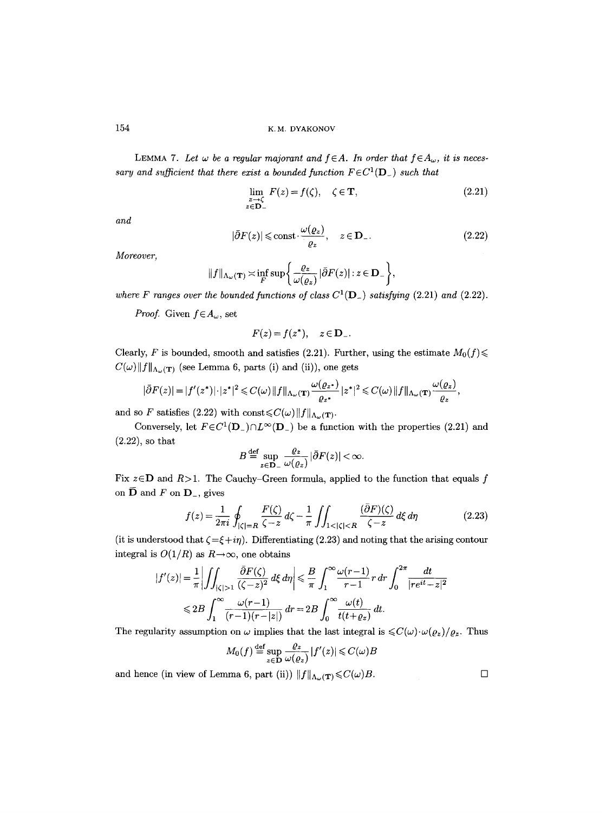LEMMA 7. Let  $\omega$  be a regular majorant and  $f \in A$ . In order that  $f \in A_{\omega}$ , it is neces*sary and sufficient that there exist a bounded function*  $F \in C^1(\mathbf{D}_+)$  *such that* 

$$
\lim_{\substack{z \to \zeta \\ z \in \mathbf{D}_-}} F(z) = f(\zeta), \quad \zeta \in \mathbf{T},\tag{2.21}
$$

*and* 

$$
|\bar{\partial}F(z)| \le \text{const} \cdot \frac{\omega(\varrho_z)}{\varrho_z}, \quad z \in \mathbf{D}_-\,. \tag{2.22}
$$

*Moreover,* 

$$
||f||_{\Lambda_{\omega}(\mathbf{T})} \asymp \inf_{F} \sup \bigg\{ \frac{\varrho_{z}}{\omega(\varrho_{z})} |\bar{\partial} F(z)| : z \in \mathbf{D}_{-} \bigg\},\,
$$

where F ranges over the bounded functions of class  $C^1(D_{-})$  satisfying (2.21) and (2.22).

*Proof.* Given  $f \in A_\omega$ , set

$$
F(z) = f(z^*), \quad z \in \mathbf{D}_-.
$$

Clearly, F is bounded, smooth and satisfies (2.21). Further, using the estimate  $M_0(f)$  $C(\omega) \| f \|_{\Lambda_{\omega}(\mathbf{T})}$  (see Lemma 6, parts (i) and (ii)), one gets

$$
|\bar{\partial}F(z)|=|f'(z^*)|\cdot|z^*|^2\leqslant C(\omega)\|f\|_{\Lambda_{\omega}(\mathbf{T})}\frac{\omega(\varrho_{z^*})}{\varrho_{z^*}}|z^*|^2\leqslant C(\omega)\|f\|_{\Lambda_{\omega}(\mathbf{T})}\frac{\omega(\varrho_z)}{\varrho_z},
$$

and so F satisfies (2.22) with const $\leq C(\omega) \|f\|_{\Lambda_{\omega}(\mathbf{T})}$ .

Conversely, let  $F \in C^1(\mathbf{D}_-) \cap L^{\infty}(\mathbf{D}_-)$  be a function with the properties (2.21) and (2.22), so that

$$
B \stackrel{\text{def}}{=} \sup_{z \in \mathbf{D}_{-}} \frac{\varrho_z}{\omega(\varrho_z)} |\bar{\partial} F(z)| < \infty.
$$

Fix  $z \in D$  and  $R > 1$ . The Cauchy-Green formula, applied to the function that equals f on  $\bar{\mathbf{D}}$  and F on  $\mathbf{D}_{-}$ , gives

$$
f(z) = \frac{1}{2\pi i} \oint_{|\zeta|=R} \frac{F(\zeta)}{\zeta - z} d\zeta - \frac{1}{\pi} \iint_{1<|\zeta| (2.23)
$$

(it is understood that  $\zeta = \xi + i\eta$ ). Differentiating (2.23) and noting that the arising contour integral is  $O(1/R)$  as  $R\rightarrow\infty$ , one obtains

$$
|f'(z)| = \frac{1}{\pi} \left| \iint_{|\zeta|>1} \frac{\partial F(\zeta)}{(\zeta - z)^2} d\xi d\eta \right| \le \frac{B}{\pi} \int_1^\infty \frac{\omega(r-1)}{r-1} r dr \int_0^{2\pi} \frac{dt}{|re^{it} - z|^2}
$$
  

$$
\le 2B \int_1^\infty \frac{\omega(r-1)}{(r-1)(r-|z|)} dr = 2B \int_0^\infty \frac{\omega(t)}{t(t+ \varrho_z)} dt.
$$

The regularity assumption on  $\omega$  implies that the last integral is  $\langle C(\omega) \cdot \omega(\varrho_z)/\varrho_z$ . Thus

$$
M_0(f) \stackrel{\text{def}}{=} \sup_{z \in \mathbf{D}} \frac{\varrho_z}{\omega(\varrho_z)} |f'(z)| \leq C(\omega)B
$$

and hence (in view of Lemma 6, part (ii))  $||f||_{\Lambda_{\omega}(\mathbf{T})} \leq C(\omega)B$ .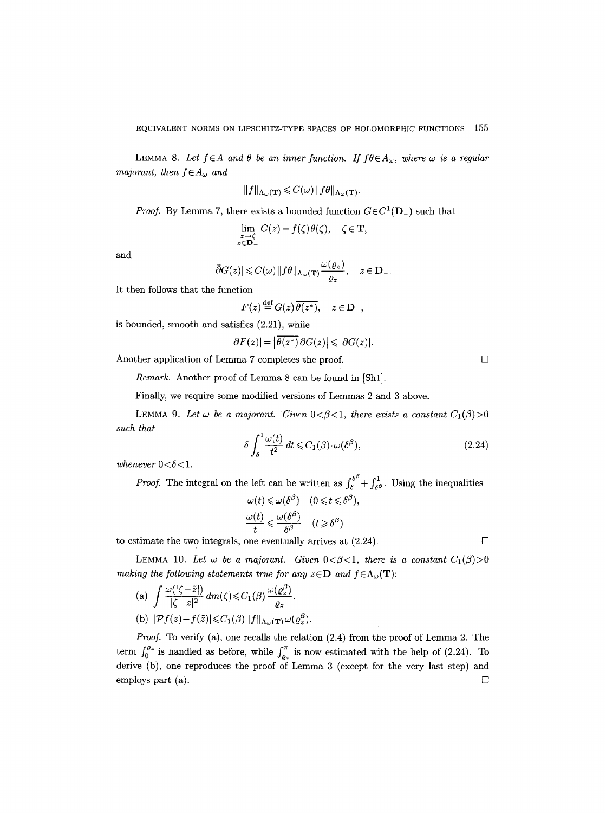LEMMA 8. Let  $f \in A$  and  $\theta$  be an inner function. If  $f\theta \in A_{\omega}$ , where  $\omega$  is a regular *majorant, then*  $f \in A_\omega$  *and* 

$$
||f||_{\Lambda_{\omega}(\mathbf{T})} \leqslant C(\omega) ||f\theta||_{\Lambda_{\omega}(\mathbf{T})}.
$$

*Proof.* By Lemma 7, there exists a bounded function  $G \in C^1(\mathbf{D})$  such that

$$
\lim_{\substack{z \to \zeta \\ z \in \mathbf{D}_-}} G(z) = f(\zeta) \theta(\zeta), \quad \zeta \in \mathbf{T},
$$

and

$$
|\bar{\partial}G(z)| \leqslant C(\omega) \, \|f\theta\|_{\Lambda_{\omega}(\mathbf{T})} \frac{\omega(\varrho_z)}{\varrho_z}, \quad z \in \mathbf{D}_-.
$$

It then follows that the function

$$
F(z) \stackrel{\text{def}}{=} G(z) \overline{\theta(z^*)}, \quad z \in \mathbf{D}_-,
$$

is bounded, smooth and satisfies (2.21), while

$$
|\bar{\partial}F(z)| = |\overline{\theta(z^*)}\,\bar{\partial}G(z)| \leq |\bar{\partial}G(z)|.
$$

Another application of Lemma 7 completes the proof.  $\Box$ 

*Remark.* Another proof of Lemma 8 can be found in [Shl].

Finally, we require some modified versions of Lemmas 2 and 3 above.

LEMMA 9. Let  $\omega$  be a majorant. Given  $0 < \beta < 1$ , there exists a constant  $C_1(\beta) > 0$ *such that* 

$$
\delta \int_{\delta}^{1} \frac{\omega(t)}{t^2} dt \leq C_1(\beta) \cdot \omega(\delta^{\beta}), \tag{2.24}
$$

whenever  $0 < \delta < 1$ .

*Proof.* The integral on the left can be written as  $\int_{\delta}^{\delta^{\beta}} + \int_{\delta^{\beta}}^{1}$ . Using the inequalities

$$
\omega(t) \leq \omega(\delta^{\beta}) \quad (0 \leq t \leq \delta^{\beta}),
$$
  

$$
\frac{\omega(t)}{t} \leq \frac{\omega(\delta^{\beta})}{\delta^{\beta}} \quad (t \geq \delta^{\beta})
$$

to estimate the two integrals, one eventually arrives at  $(2.24)$ .

LEMMA 10. Let  $\omega$  be a majorant. Given  $0 < \beta < 1$ , there is a constant  $C_1(\beta) > 0$ *making the following statements true for any*  $z \in D$  *and*  $f \in \Lambda_\omega(T)$ :

(a) 
$$
\int \frac{\omega(|\zeta - \tilde{z}|)}{|\zeta - z|^2} dm(\zeta) \leq C_1(\beta) \frac{\omega(\varrho_z^{\beta})}{\varrho_z}.
$$
  
(b) 
$$
|\mathcal{P}f(z) - f(\tilde{z})| \leq C_1(\beta) ||f||_{\Lambda_\omega(\mathbf{T})} \omega(\varrho_z^{\beta}).
$$

*Proof.* To verify (a), one recalls the relation (2.4) from the proof of Lemma 2. The term  $\int_0^{\varrho_z}$  is handled as before, while  $\int_{\varrho_z}^{\pi}$  is now estimated with the help of (2.24). To derive (b), one reproduces the proof of Lemma 3 (except for the very last step) and employs part (a).  $\Box$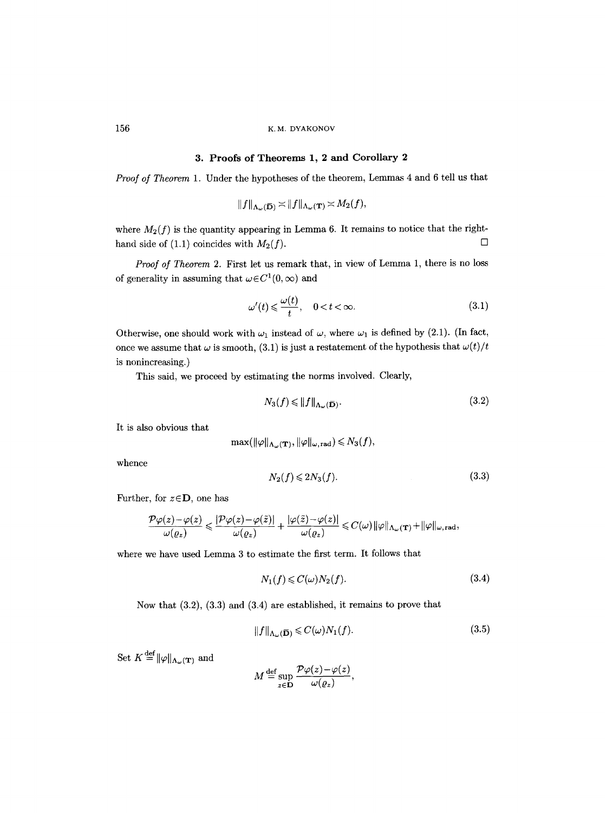## **3. Proofs of Theorems 1, 2 and Corollary 2**

*Proof of Theorem* 1. Under the hypotheses of the theorem, Lemmas 4 and 6 tell us that

$$
||f||_{\Lambda_{\omega}(\overline{\mathbf{D}})} \asymp ||f||_{\Lambda_{\omega}(\mathbf{T})} \asymp M_2(f),
$$

where  $M_2(f)$  is the quantity appearing in Lemma 6. It remains to notice that the righthand side of (1.1) coincides with  $M_2(f)$ .

*Proof of Theorem* 2. First let us remark that, in view of Lemma 1, there is no loss of generality in assuming that  $\omega \in C^1(0, \infty)$  and

$$
\omega'(t) \leq \frac{\omega(t)}{t}, \quad 0 < t < \infty.
$$
 (3.1)

Otherwise, one should work with  $\omega_1$  instead of  $\omega$ , where  $\omega_1$  is defined by (2.1). (In fact, once we assume that  $\omega$  is smooth, (3.1) is just a restatement of the hypothesis that  $\omega(t)/t$ is nonincreasing.)

This said, we proceed by estimating the norms involved. Clearly,

$$
N_3(f) \le \|f\|_{\Lambda_\omega(\bar{\mathbf{D}})}.\tag{3.2}
$$

It is also obvious that

$$
\max(\|\varphi\|_{\Lambda_{\omega}(\mathbf{T})}, \|\varphi\|_{\omega, \mathrm{rad}}) \leqslant N_3(f),
$$

whence

$$
N_2(f) \leqslant 2N_3(f). \tag{3.3}
$$

Further, for  $z \in D$ , one has

$$
\frac{\mathcal{P} \varphi(z) - \varphi(z)}{\omega(\varrho_z)} \leqslant \frac{|\mathcal{P} \varphi(z) - \varphi(\tilde{z})|}{\omega(\varrho_z)} + \frac{|\varphi(\tilde{z}) - \varphi(z)|}{\omega(\varrho_z)} \leqslant C(\omega) \|\varphi\|_{\Lambda_\omega(\mathbf{T})} + \|\varphi\|_{\omega, \text{rad}},
$$

where we have used Lemma 3 to estimate the first term. It follows that

$$
N_1(f) \leqslant C(\omega)N_2(f). \tag{3.4}
$$

Now that (3.2), (3.3) and (3.4) are established, it remains to prove that

$$
||f||_{\Lambda_{\omega}(\overline{\mathbf{D}})} \leqslant C(\omega)N_1(f). \tag{3.5}
$$

Set  $K \stackrel{\text{def}}{=} ||\varphi||_{\Lambda_{\omega}(\mathbf{T})}$  and

$$
M \stackrel{\text{def}}{=} \sup_{z \in \mathbf{D}} \frac{\mathcal{P}\varphi(z) - \varphi(z)}{\omega(\varrho_z)}
$$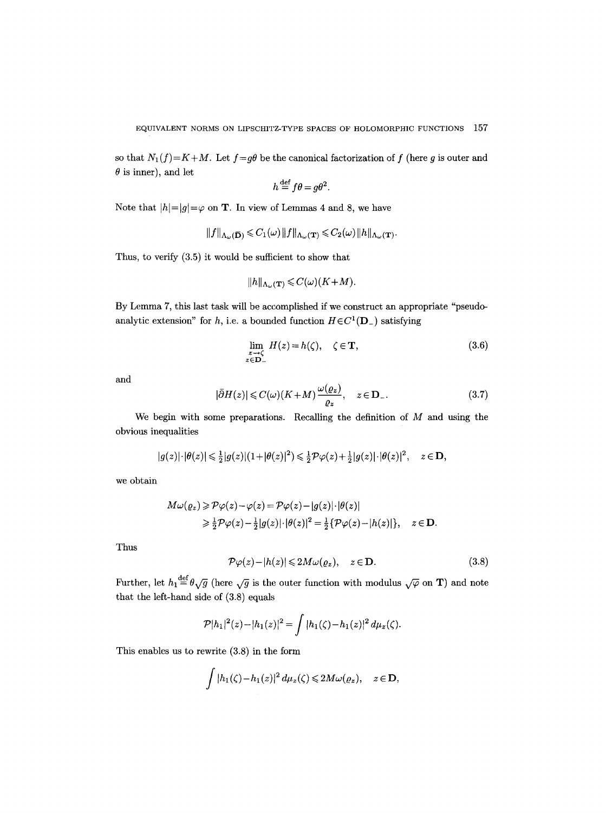so that  $N_1(f)=K+M$ . Let  $f=g\theta$  be the canonical factorization of f (here g is outer and  $\theta$  is inner), and let

$$
h \stackrel{\text{def}}{=} f\theta = g\theta^2.
$$

Note that  $|h|=|g|=\varphi$  on **T**. In view of Lemmas 4 and 8, we have

$$
||f||_{\Lambda_{\omega}(\overline{\mathbf{D}})} \leqslant C_1(\omega) ||f||_{\Lambda_{\omega}(\mathbf{T})} \leqslant C_2(\omega) ||h||_{\Lambda_{\omega}(\mathbf{T})}.
$$

Thus, to verify (3.5) it would be sufficient to show that

$$
||h||_{\Lambda_{\omega}(\mathbf{T})} \leqslant C(\omega)(K+M).
$$

By Lemma 7, this last task will be accomplished if we construct an appropriate "pseudoanalytic extension" for h, i.e. a bounded function  $H \in C^1(\mathbf{D}_-)$  satisfying

$$
\lim_{\substack{z \to \zeta \\ z \in \mathbf{D}_-}} H(z) = h(\zeta), \quad \zeta \in \mathbf{T},\tag{3.6}
$$

and

$$
|\bar{\partial}H(z)| \leqslant C(\omega)(K+M)\frac{\omega(\varrho_z)}{\varrho_z}, \quad z \in \mathbf{D}_-.
$$
 (3.7)

We begin with some preparations. Recalling the definition of  $M$  and using the obvious inequalities

$$
|g(z)| \cdot |\theta(z)| \leq \frac{1}{2}|g(z)| (1+|\theta(z)|^2) \leq \frac{1}{2} \mathcal{P}\varphi(z) + \frac{1}{2}|g(z)| \cdot |\theta(z)|^2, \quad z \in \mathbf{D},
$$

we obtain

$$
M\omega(\varrho_z) \geqslant \mathcal{P}\varphi(z) - \varphi(z) = \mathcal{P}\varphi(z) - |g(z)| \cdot |\theta(z)|
$$
  
\n
$$
\geqslant \frac{1}{2} \mathcal{P}\varphi(z) - \frac{1}{2} |g(z)| \cdot |\theta(z)|^2 = \frac{1}{2} \{ \mathcal{P}\varphi(z) - |h(z)| \}, \quad z \in \mathbf{D}.
$$

Thus

$$
\mathcal{P}\varphi(z) - |h(z)| \leq 2M\omega(\varrho_z), \quad z \in \mathbf{D}.\tag{3.8}
$$

Further, let  $h_1 \stackrel{\text{def}}{=} \theta \sqrt{g}$  (here  $\sqrt{g}$  is the outer function with modulus  $\sqrt{\varphi}$  on T) and note that the left-hand side of (3.8) equals

$$
\mathcal{P}|h_1|^2(z) - |h_1(z)|^2 = \int |h_1(\zeta) - h_1(z)|^2 \, d\mu_z(\zeta).
$$

This enables us to rewrite (3.8) in the form

$$
\int |h_1(\zeta)-h_1(z)|^2\,d\mu_z(\zeta)\leq 2M\omega(\varrho_z),\quad z\in\mathbf{D},
$$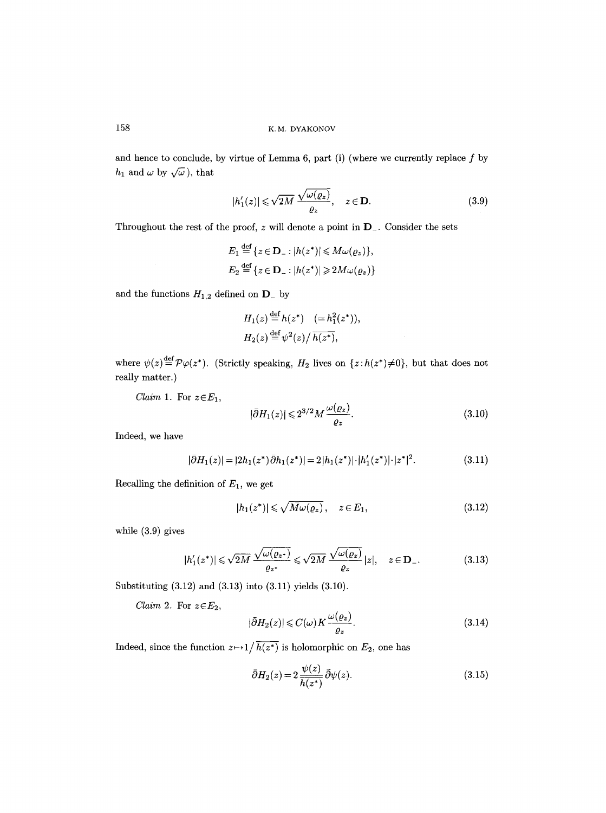and hence to conclude, by virtue of Lemma 6, part (i) (where we currently replace  $f$  by  $h_1$  and  $\omega$  by  $\sqrt{\omega}$ ), that

$$
|h'_1(z)| \leqslant \sqrt{2M} \frac{\sqrt{\omega(\varrho_z)}}{\varrho_z}, \quad z \in \mathbf{D}.\tag{3.9}
$$

Throughout the rest of the proof,  $z$  will denote a point in  $D_{-}$ . Consider the sets

$$
E_1 \stackrel{\text{def}}{=} \{ z \in \mathbf{D}_- : |h(z^*)| \leq M \omega(\varrho_z) \},
$$
  

$$
E_2 \stackrel{\text{def}}{=} \{ z \in \mathbf{D}_- : |h(z^*)| \geq 2M \omega(\varrho_z) \}
$$

and the functions  $H_{1,2}$  defined on  $\mathbf{D}_{-}$  by

$$
H_1(z) \stackrel{\text{def}}{=} h(z^*) \quad (= h_1^2(z^*)),
$$
  

$$
H_2(z) \stackrel{\text{def}}{=} \psi^2(z) / \overline{h(z^*)},
$$

where  $\psi(z) = \mathcal{P}\varphi(z^*)$ . (Strictly speaking, H<sub>2</sub> lives on  $\{z: h(z^*)\neq 0\}$ , but that does not really matter.)

*Claim 1.* For  $z \in E_1$ ,

$$
|\bar{\partial}H_1(z)| \leq 2^{3/2} M \frac{\omega(\varrho_z)}{\varrho_z}.
$$
\n(3.10)

Indeed, we have

$$
|\bar{\partial}H_1(z)| = |2h_1(z^*)\bar{\partial}h_1(z^*)| = 2|h_1(z^*)|\cdot|h_1'(z^*)|\cdot|z^*|^2.
$$
 (3.11)

Recalling the definition of  $E_1,$  we get

$$
|h_1(z^*)| \leqslant \sqrt{M\omega(\varrho_z)}, \quad z \in E_1,\tag{3.12}
$$

while (3.9) gives

$$
|h_1'(z^*)| \leq \sqrt{2M} \frac{\sqrt{\omega(\varrho_z*)}}{\varrho_z*} \leq \sqrt{2M} \frac{\sqrt{\omega(\varrho_z)}}{\varrho_z} |z|, \quad z \in \mathbf{D}_-.
$$
 (3.13)

Substituting (3.12) and (3.13) into (3.11) yields (3.10).

*Claim 2.* For  $z \in E_2$ ,

$$
|\bar{\partial}H_2(z)| \leqslant C(\omega)K\frac{\omega(\varrho_z)}{\varrho_z}.\tag{3.14}
$$

Indeed, since the function  $z \mapsto 1/\overline{h(z^*)}$  is holomorphic on  $E_2$ , one has

$$
\bar{\partial}H_2(z) = 2 \frac{\psi(z)}{h(z^*)} \bar{\partial}\psi(z). \tag{3.15}
$$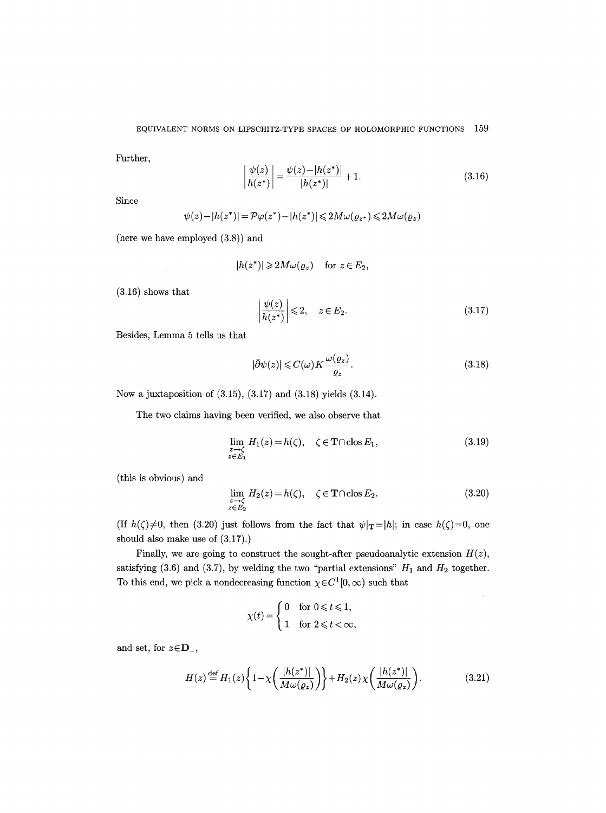Further,

$$
\left| \frac{\psi(z)}{h(z^*)} \right| = \frac{\psi(z) - |h(z^*)|}{|h(z^*)|} + 1.
$$
\n(3.16)

Since

$$
\psi(z) - |h(z^*)| = \mathcal{P}\varphi(z^*) - |h(z^*)| \leq 2M\omega(\varrho_{z^*}) \leq 2M\omega(\varrho_z)
$$

(here we have employed (3.8)) and

$$
|h(z^*)| \geq 2M\omega(\varrho_z) \quad \text{ for } z \in E_2,
$$

(3.16) shows that

$$
\left. \frac{\psi(z)}{h(z^*)} \right| \leqslant 2, \quad z \in E_2. \tag{3.17}
$$

Besides, Lemma 5 tells us that

$$
|\bar{\partial}\psi(z)| \leqslant C(\omega)K\frac{\omega(\varrho_z)}{\varrho_z}.\tag{3.18}
$$

Now a juxtaposition of (3.15), (3.17) and (3.18) yields (3.14).

The two claims having been verified, we also observe that

$$
\lim_{\substack{z \to \zeta \\ z \in E_1}} H_1(z) = h(\zeta), \quad \zeta \in \mathbf{T} \cap \text{clos } E_1,\tag{3.19}
$$

(this is obvious) and

$$
\lim_{\substack{z \to \zeta \\ z \in E_2}} H_2(z) = h(\zeta), \quad \zeta \in \mathbf{T} \cap \text{clos } E_2.
$$
\n(3.20)

(If  $h(\zeta) \neq 0$ , then (3.20) just follows from the fact that  $\psi|_{\mathbf{T}} = |h|$ ; in case  $h(\zeta) = 0$ , one should also make use of (3.17).)

Finally, we are going to construct the sought-after pseudoanalytic extension  $H(z)$ , satisfying (3.6) and (3.7), by welding the two "partial extensions"  $H_1$  and  $H_2$  together. To this end, we pick a nondecreasing function  $\chi \in C^1[0, \infty)$  such that

$$
\chi(t) = \begin{cases} 0 & \text{for } 0 \leq t \leq 1, \\ 1 & \text{for } 2 \leq t < \infty, \end{cases}
$$

and set, for  $z \in \mathbf{D}_{-}$ ,

$$
H(z) \stackrel{\text{def}}{=} H_1(z) \left\{ 1 - \chi \left( \frac{|h(z^*)|}{M \omega(\varrho_z)} \right) \right\} + H_2(z) \chi \left( \frac{|h(z^*)|}{M \omega(\varrho_z)} \right). \tag{3.21}
$$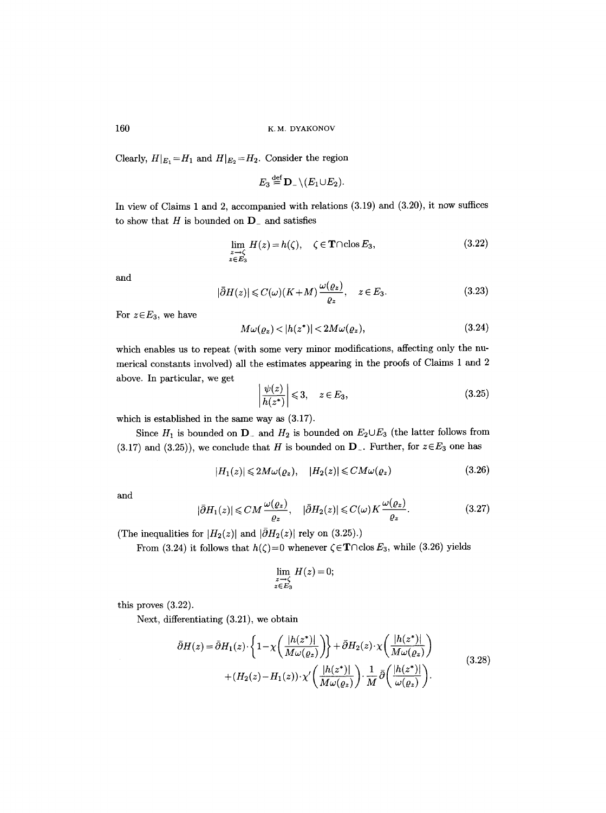Clearly,  $H|_{E_1} = H_1$  and  $H|_{E_2} = H_2$ . Consider the region

$$
E_3 {\, \stackrel{\mathrm{def}}{=}\, } {\bf D}_-\backslash (E_1\!\cup\! E_2).
$$

In view of Claims 1 and 2, accompanied with relations (3.19) and (3.20), it now suffices to show that  $H$  is bounded on  $D_{-}$  and satisfies

$$
\lim_{\substack{z \to \zeta \\ z \in E_3}} H(z) = h(\zeta), \quad \zeta \in \mathbf{T} \cap \text{clos } E_3,
$$
\n(3.22)

and

$$
|\bar{\partial}H(z)| \leqslant C(\omega)(K+M)\frac{\omega(\varrho_z)}{\varrho_z}, \quad z \in E_3. \tag{3.23}
$$

For  $z \in E_3$ , we have

$$
M\omega(\varrho_z) < |h(z^*)| < 2M\omega(\varrho_z),\tag{3.24}
$$

which enables us to repeat (with some very minor modifications, affecting only the numerical constants involved) all the estimates appearing in the proofs of Claims 1 and 2 above. In particular, we get

$$
\left|\frac{\psi(z)}{h(z^*)}\right| \leqslant 3, \quad z \in E_3,\tag{3.25}
$$

which is established in the same way as (3.17).

Since  $H_1$  is bounded on  $D^-$  and  $H_2$  is bounded on  $E_2 \cup E_3$  (the latter follows from  $(3.17)$  and  $(3.25)$ ), we conclude that H is bounded on  $D_{-}$ . Further, for  $z \in E_3$  one has

$$
|H_1(z)| \leq 2M\omega(\varrho_z), \quad |H_2(z)| \leq CM\omega(\varrho_z) \tag{3.26}
$$

and

$$
|\bar{\partial}H_1(z)| \leq C M \frac{\omega(\varrho_z)}{\varrho_z}, \quad |\bar{\partial}H_2(z)| \leq C(\omega) K \frac{\omega(\varrho_z)}{\varrho_z}.
$$
 (3.27)

(The inequalities for  $|H_2(z)|$  and  $|\bar{\partial}H_2(z)|$  rely on (3.25).)

From (3.24) it follows that  $h(\zeta)=0$  whenever  $\zeta \in \mathbf{T} \cap \text{clos } E_3$ , while (3.26) yields

$$
\lim_{\substack{z \to \zeta \\ z \in E_3}} H(z) = 0;
$$

this proves (3.22).

Next, differentiating (3.21), we obtain

$$
\tilde{\partial}H(z) = \tilde{\partial}H_1(z) \cdot \left\{ 1 - \chi \left( \frac{|h(z^*)|}{M \omega(\varrho_z)} \right) \right\} + \tilde{\partial}H_2(z) \cdot \chi \left( \frac{|h(z^*)|}{M \omega(\varrho_z)} \right) + (H_2(z) - H_1(z)) \cdot \chi' \left( \frac{|h(z^*)|}{M \omega(\varrho_z)} \right) \cdot \frac{1}{M} \bar{\partial} \left( \frac{|h(z^*)|}{\omega(\varrho_z)} \right).
$$
\n(3.28)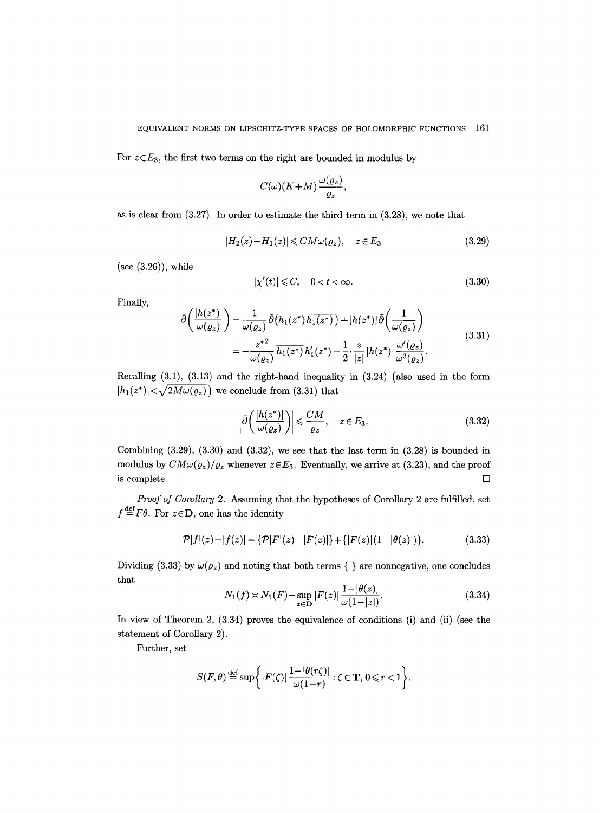For  $z \in E_3$ , the first two terms on the right are bounded in modulus by

$$
C(\omega)(K+M)\frac{\omega(\varrho_z)}{\varrho_z},
$$

as is clear from (3.27). In order to estimate the third term in (3.28), we note that

$$
|H_2(z) - H_1(z)| \leq CM\omega(\varrho_z), \quad z \in E_3 \tag{3.29}
$$

(see (3.26)), while

$$
|\chi'(t)| \leqslant C, \quad 0 < t < \infty. \tag{3.30}
$$

Finally,

$$
\bar{\partial}\left(\frac{|h(z^*)|}{\omega(\varrho_z)}\right) = \frac{1}{\omega(\varrho_z)}\bar{\partial}\left(h_1(z^*)\overline{h_1(z^*)}\right) + |h(z^*)|\bar{\partial}\left(\frac{1}{\omega(\varrho_z)}\right)
$$
\n
$$
= -\frac{z^{*2}}{\omega(\varrho_z)}\frac{1}{h_1(z^*)}h_1'(z^*) - \frac{1}{2}\cdot\frac{z}{|z|}|h(z^*)|\frac{\omega'(\varrho_z)}{\omega^2(\varrho_z)}.
$$
\n(3.31)

Recalling (3.1), (3.13) and the right-hand inequality in (3.24) (also used in the form  $|h_1(z^*)| < \sqrt{2M\omega(\varrho_z)}$  we conclude from (3.31) that

$$
\left| \bar{\partial} \left( \frac{|h(z^*)|}{\omega(\varrho_z)} \right) \right| \leq \frac{CM}{\varrho_z}, \quad z \in E_3.
$$
 (3.32)

Combining  $(3.29)$ ,  $(3.30)$  and  $(3.32)$ , we see that the last term in  $(3.28)$  is bounded in modulus by  $CM\omega(\varrho_z)/\varrho_z$  whenever  $z \in E_3$ . Eventually, we arrive at (3.23), and the proof is complete.  $\Box$ 

*Proof of Corollary* 2. Assuming that the hypotheses of Corollary 2 are fulfilled, set  $f \stackrel{\text{def}}{=} F\theta$ . For  $z \in \mathbf{D}$ , one has the identity

$$
\mathcal{P}|f|(z) - |f(z)| = \{\mathcal{P}|F|(z) - |F(z)|\} + \{|F(z)|(1 - |\theta(z)|)\}.
$$
\n(3.33)

Dividing (3.33) by  $\omega(\varrho_z)$  and noting that both terms { } are nonnegative, one concludes that

$$
N_1(f) \asymp N_1(F) + \sup_{z \in \mathbf{D}} |F(z)| \frac{1 - |\theta(z)|}{\omega(1 - |z|)}.
$$
 (3.34)

In view of Theorem 2,  $(3.34)$  proves the equivalence of conditions (i) and (ii) (see the statement of Corollary 2).

Further, set

$$
S(F,\theta) \stackrel{\text{def}}{=} \sup \bigg\{ |F(\zeta)| \frac{1-|\theta(r\zeta)|}{\omega(1-r)} : \zeta \in \mathbf{T}, 0 \leqslant r < 1 \bigg\}.
$$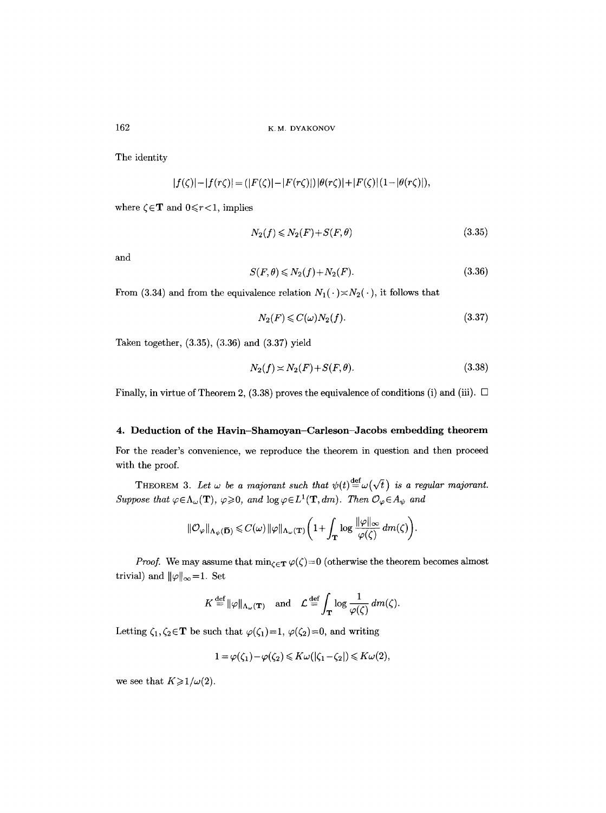The identity

$$
|f(\zeta)| - |f(r\zeta)| = (|F(\zeta)| - |F(r\zeta)|) |\theta(r\zeta)| + |F(\zeta)| (1 - |\theta(r\zeta)|),
$$

where  $\zeta \in \mathbf{T}$  and  $0 \leq r < 1$ , implies

$$
N_2(f) \le N_2(F) + S(F, \theta) \tag{3.35}
$$

and

$$
S(F,\theta) \leq N_2(f) + N_2(F). \tag{3.36}
$$

From (3.34) and from the equivalence relation  $N_1(\cdot) \times N_2(\cdot)$ , it follows that

$$
N_2(F) \leqslant C(\omega)N_2(f). \tag{3.37}
$$

Taken together, (3.35), (3.36) and (3.37) yield

$$
N_2(f) \asymp N_2(F) + S(F, \theta). \tag{3.38}
$$

Finally, in virtue of Theorem 2, (3.38) proves the equivalence of conditions (i) and (iii).  $\Box$ 

### 4. **Deduction of the** Havin-Shamoyan-Carleson-Jacobs embedding **theorem**

For the reader's convenience, we reproduce the theorem in question and then proceed with the proof.

THEOREM 3. Let  $\omega$  be a majorant such that  $\psi(t) \stackrel{\text{def}}{=} \omega(\sqrt{t})$  is a regular majorant. *Suppose that*  $\varphi \in \Lambda_{\omega}(\mathbf{T})$ ,  $\varphi \geq 0$ , and  $\log \varphi \in L^1(\mathbf{T}, dm)$ . Then  $\mathcal{O}_{\varphi} \in A_{\psi}$  and

$$
\|\mathcal{O}_{\varphi}\|_{\Lambda_{\psi}(\overline{\mathbf{D}})} \leqslant C(\omega) \|\varphi\|_{\Lambda_{\omega}(\mathbf{T})} \bigg(1 + \int_{\mathbf{T}} \log \frac{\|\varphi\|_{\infty}}{\varphi(\zeta)} dm(\zeta)\bigg).
$$

*Proof.* We may assume that  $\min_{\zeta \in \mathbf{T}} \varphi(\zeta) = 0$  (otherwise the theorem becomes almost trivial) and  $\|\varphi\|_{\infty}=1$ . Set

$$
K \stackrel{\text{def}}{=} ||\varphi||_{\Lambda_{\omega}(\mathbf{T})} \quad \text{and} \quad \mathcal{L} \stackrel{\text{def}}{=} \int_{\mathbf{T}} \log \frac{1}{\varphi(\zeta)} \, dm(\zeta).
$$

Letting  $\zeta_1, \zeta_2 \in \mathbf{T}$  be such that  $\varphi(\zeta_1)=1, \varphi(\zeta_2)=0$ , and writing

$$
1 = \varphi(\zeta_1) - \varphi(\zeta_2) \leq K\omega(|\zeta_1 - \zeta_2|) \leq K\omega(2),
$$

we see that  $K \geq 1/\omega(2)$ .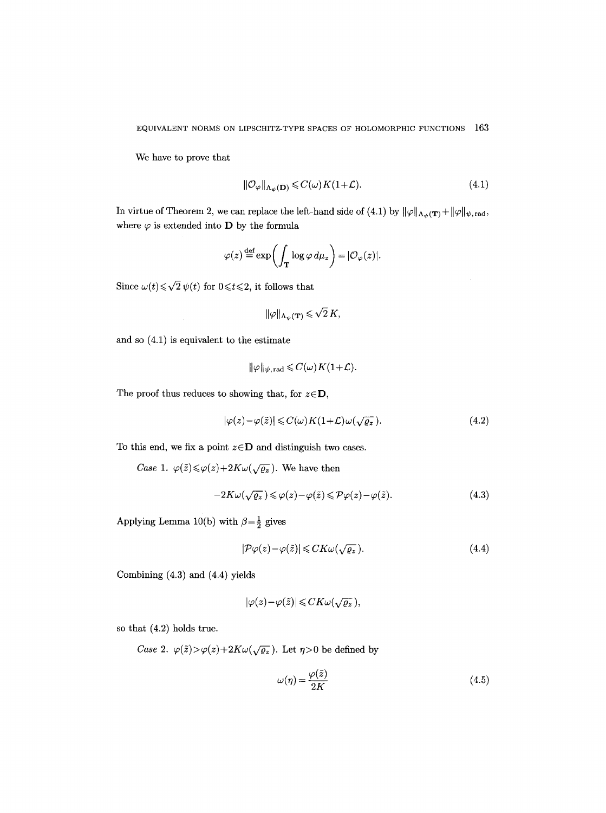We have to prove that

$$
\|\mathcal{O}_{\varphi}\|_{\Lambda_{\psi}(\overline{\mathbf{D}})} \leqslant C(\omega)K(1+\mathcal{L}).\tag{4.1}
$$

In virtue of Theorem 2, we can replace the left-hand side of (4.1) by  $\|\varphi\|_{\Lambda_{\psi}(\mathbf{T})}+\|\varphi\|_{\psi,\text{rad}}$ , where  $\varphi$  is extended into **D** by the formula

$$
\varphi(z) \stackrel{\text{def}}{=} \exp\biggl(\int_{\mathbf{T}} \log \varphi \, d\mu_z\biggr) = |\mathcal{O}_{\varphi}(z)|.
$$

Since  $\omega(t) \le \sqrt{2} \psi(t)$  for  $0 \le t \le 2$ , it follows that

$$
\|\varphi\|_{\Lambda_{\psi}(\mathbf{T})} \leqslant \sqrt{2} K,
$$

and so (4.1) is equivalent to the estimate

$$
\|\varphi\|_{\psi,\,\mathrm{rad}} \leqslant C(\omega)K(1+\mathcal{L}).
$$

The proof thus reduces to showing that, for  $z \in \mathbf{D}$ ,

$$
|\varphi(z) - \varphi(\tilde{z})| \leq C(\omega) K(1+\mathcal{L}) \omega(\sqrt{\varrho_z}). \tag{4.2}
$$

To this end, we fix a point  $z \in D$  and distinguish two cases.

*Case 1.*  $\varphi(\tilde{z}) \le \varphi(z) + 2K\omega(\sqrt{\varrho_z})$ . We have then

$$
-2K\omega(\sqrt{\varrho_z}) \leq \varphi(z) - \varphi(\tilde{z}) \leqslant \mathcal{P}\varphi(z) - \varphi(\tilde{z}).\tag{4.3}
$$

Applying Lemma 10(b) with  $\beta=\frac{1}{2}$  gives

$$
|\mathcal{P}\varphi(z) - \varphi(\tilde{z})| \leq CK\omega(\sqrt{\varrho_z}).\tag{4.4}
$$

Combining (4.3) and (4.4) yields

$$
|\varphi(z)-\varphi(\tilde{z})|\leqslant CK\omega(\sqrt{\varrho_z}),
$$

so that (4.2) holds true.

*Case 2.*  $\varphi(\tilde{z}) > \varphi(z) + 2K\omega(\sqrt{\varrho_z})$ . Let  $\eta > 0$  be defined by

$$
\omega(\eta) = \frac{\varphi(\tilde{z})}{2K} \tag{4.5}
$$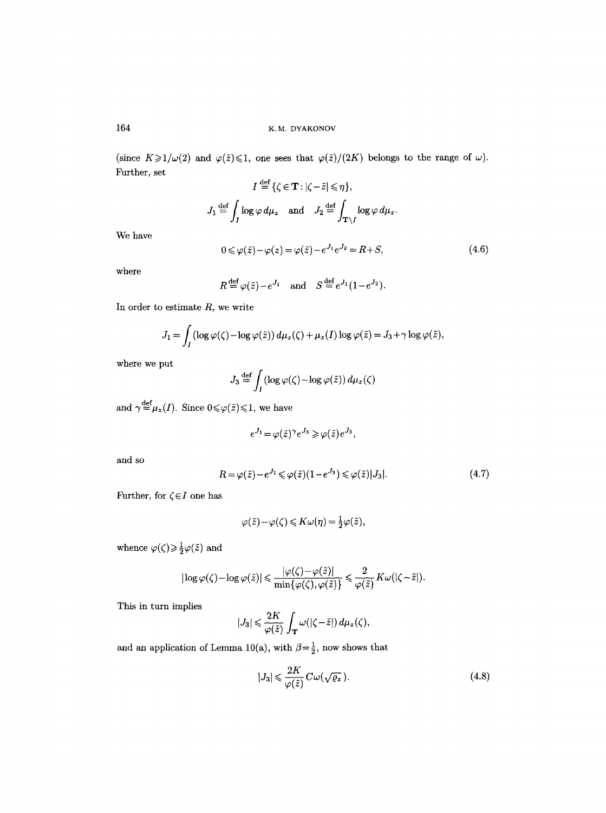(since  $K \geq 1/\omega(2)$  and  $\varphi(\tilde{z}) \leq 1$ , one sees that  $\varphi(\tilde{z})/(2K)$  belongs to the range of  $\omega$ ). Further, set  $\overline{A}$ 

$$
I \stackrel{\text{def}}{=} \{ \zeta \in \mathbf{T} : |\zeta - \tilde{z}| \leq \eta \},
$$
  

$$
J_1 \stackrel{\text{def}}{=} \int_J \log \varphi \, d\mu_z \quad \text{and} \quad J_2 \stackrel{\text{def}}{=} \int_{\mathbf{T} \backslash I} \log \varphi \, d\mu_z.
$$
  

$$
0 \leq \varphi(\tilde{z}) - \varphi(z) = \varphi(\tilde{z}) - e^{J_1} e^{J_2} = R + S,
$$
 (4.6)

We have

$$
\quad \text{where} \quad
$$

$$
R \stackrel{\text{def}}{=} \varphi(\tilde{z}) - e^{J_1} \quad \text{and} \quad S \stackrel{\text{def}}{=} e^{J_1} (1 - e^{J_2}).
$$

In order to estimate  $R$ , we write

$$
J_1 = \int_I (\log \varphi(\zeta) - \log \varphi(\tilde{z})) d\mu_z(\zeta) + \mu_z(I) \log \varphi(\tilde{z}) = J_3 + \gamma \log \varphi(\tilde{z}),
$$

where we put

$$
J_3 \stackrel{\text{def}}{=} \int_I \left( \log \varphi(\zeta) - \log \varphi(\tilde{z}) \right) d\mu_z(\zeta)
$$

and  $\gamma {\, \stackrel{\mathrm{def}}{=}\, } \mu_z(I).$  Since  $0{\leqslant}\varphi(\tilde{z}){\leqslant} 1,$  we have

$$
e^{J_1} = \varphi(\tilde{z})^{\gamma} e^{J_3} \geq \varphi(\tilde{z}) e^{J_3},
$$

and so

$$
R = \varphi(\tilde{z}) - e^{J_1} \leq \varphi(\tilde{z})(1 - e^{J_3}) \leq \varphi(\tilde{z})|J_3|.
$$
\n
$$
(4.7)
$$

Further, for  $\zeta \in I$  one has

$$
\varphi(\tilde{z}) - \varphi(\zeta) \leqslant K\omega(\eta) = \frac{1}{2}\varphi(\tilde{z}),
$$

whence  $\varphi(\zeta) \!\geqslant\! \frac{1}{2} \varphi(\tilde{z})$  and

$$
|\log \varphi(\zeta) - \log \varphi(\tilde{z})| \leq \frac{|\varphi(\zeta) - \varphi(\tilde{z})|}{\min{\{\varphi(\zeta), \varphi(\tilde{z})\}}} \leq \frac{2}{\varphi(\tilde{z})} K \omega(|\zeta - \tilde{z}|).
$$

This in turn implies

$$
|J_3| \leqslant \frac{2K}{\varphi(\tilde{z})} \int_{\mathbf{T}} \omega(|\zeta - \tilde{z}|) \, d\mu_z(\zeta),
$$

and an application of Lemma 10(a), with  $\beta{=}\frac{1}{2},$  now shows that

$$
|J_3| \leqslant \frac{2K}{\varphi(\tilde{z})} C \omega(\sqrt{\varrho_z}). \tag{4.8}
$$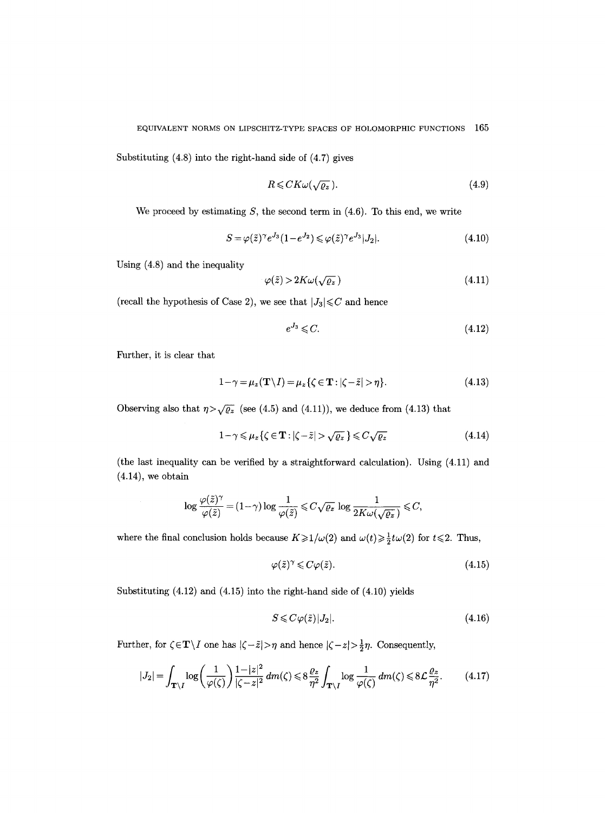Substituting (4.8) into the right-hand side of (4.7) gives

$$
R \leq C K \omega(\sqrt{\varrho_z}).\tag{4.9}
$$

We proceed by estimating  $S$ , the second term in  $(4.6)$ . To this end, we write

$$
S = \varphi(\tilde{z})^{\gamma} e^{J_3} (1 - e^{J_2}) \leq \varphi(\tilde{z})^{\gamma} e^{J_3} |J_2|.
$$
\n(4.10)

Using (4.8) and the inequality

$$
\varphi(\tilde{z}) > 2K\omega(\sqrt{\varrho_z})\tag{4.11}
$$

(recall the hypothesis of Case 2), we see that  $|J_3|{\leq}C$  and hence

$$
e^{J_3} \leqslant C. \tag{4.12}
$$

Further, it is clear that

$$
1 - \gamma = \mu_z(\mathbf{T} \setminus I) = \mu_z \{ \zeta \in \mathbf{T} : |\zeta - \tilde{z}| > \eta \}. \tag{4.13}
$$

Observing also that  $\eta > \sqrt{\varrho_z}$  (see (4.5) and (4.11)), we deduce from (4.13) that

$$
1 - \gamma \le \mu_z \{ \zeta \in \mathbf{T} : |\zeta - \tilde{z}| > \sqrt{\varrho_z} \} \le C \sqrt{\varrho_z} \tag{4.14}
$$

(the last inequality can be verified by a straightforward calculation). Using (4.11) and  $(4.14)$ , we obtain

$$
\log \frac{\varphi(\tilde{z})^{\gamma}}{\varphi(\tilde{z})} = (1 - \gamma) \log \frac{1}{\varphi(\tilde{z})} \leqslant C \sqrt{\varrho_{z}} \log \frac{1}{2K\omega(\sqrt{\varrho_{z}})} \leqslant C,
$$

where the final conclusion holds because  $K \geq 1/\omega(2)$  and  $\omega(t) \geq \frac{1}{2}t\omega(2)$  for  $t \leq 2$ . Thus,

$$
\varphi(\tilde{z})^{\gamma} \leqslant C\varphi(\tilde{z}).\tag{4.15}
$$

Substituting (4.12) and (4.15) into the right-hand side of (4.10) yields

$$
S \leqslant C\varphi(\tilde{z})|J_2|. \tag{4.16}
$$

Further, for  $\zeta \in \mathbf{T} \setminus I$  one has  $|\zeta - \tilde{z}| > \eta$  and hence  $|\zeta - z| > \frac{1}{2}\eta$ . Consequently,

$$
|J_2| = \int_{\mathbf{T}\setminus I} \log\left(\frac{1}{\varphi(\zeta)}\right) \frac{1-|z|^2}{|\zeta-z|^2} \, dm(\zeta) \leq 8\frac{\varrho_z}{\eta^2} \int_{\mathbf{T}\setminus I} \log\frac{1}{\varphi(\zeta)} \, dm(\zeta) \leq 8\mathcal{L}\frac{\varrho_z}{\eta^2}.\tag{4.17}
$$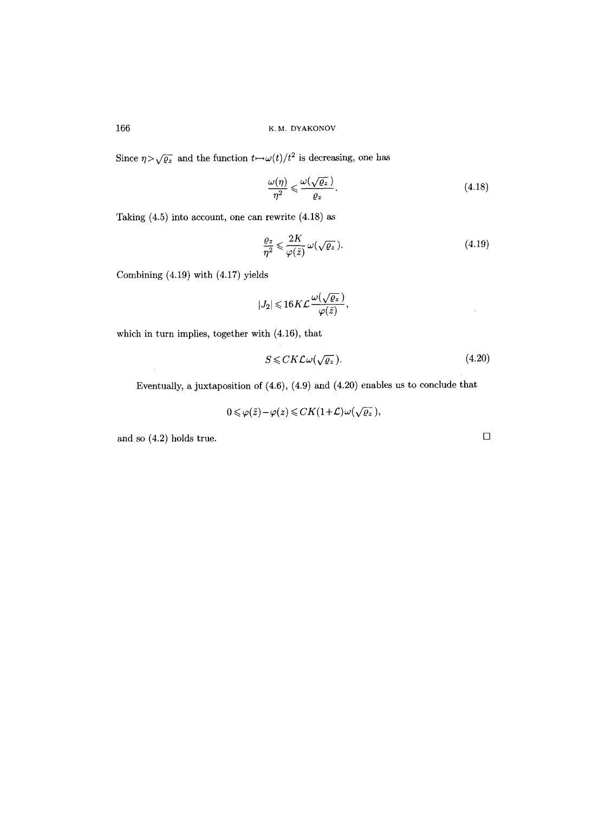166 K. M, DYAKONOV

Since  $\eta \rangle \sqrt{\varrho_z}$  and the function  $t \mapsto \omega(t)/t^2$  is decreasing, one has

$$
\frac{\omega(\eta)}{\eta^2} \leqslant \frac{\omega(\sqrt{\varrho_z})}{\varrho_z}.\tag{4.18}
$$

Taking (4.5) into account, one can rewrite (4.18) as

$$
\frac{\varrho_z}{\eta^2} \leqslant \frac{2K}{\varphi(\tilde{z})} \,\omega(\sqrt{\varrho_z}).\tag{4.19}
$$

Combining (4.19) with (4.17) yields

$$
|J_2| \! \leqslant \! 16K\mathcal L \frac{\omega(\sqrt{\varrho_z}\,)}{\varphi(\tilde z)},
$$

which in turn implies, together with (4.16), that

$$
S \leq C K \mathcal{L} \omega(\sqrt{\varrho_z}).\tag{4.20}
$$

Eventually, a juxtaposition of (4.6), (4.9) and (4.20) enables us to conclude that

$$
0 \leqslant \varphi(\tilde{z}) - \varphi(z) \leqslant CK(1+\mathcal{L})\omega(\sqrt{\varrho_z}),
$$

and so  $(4.2)$  holds true.